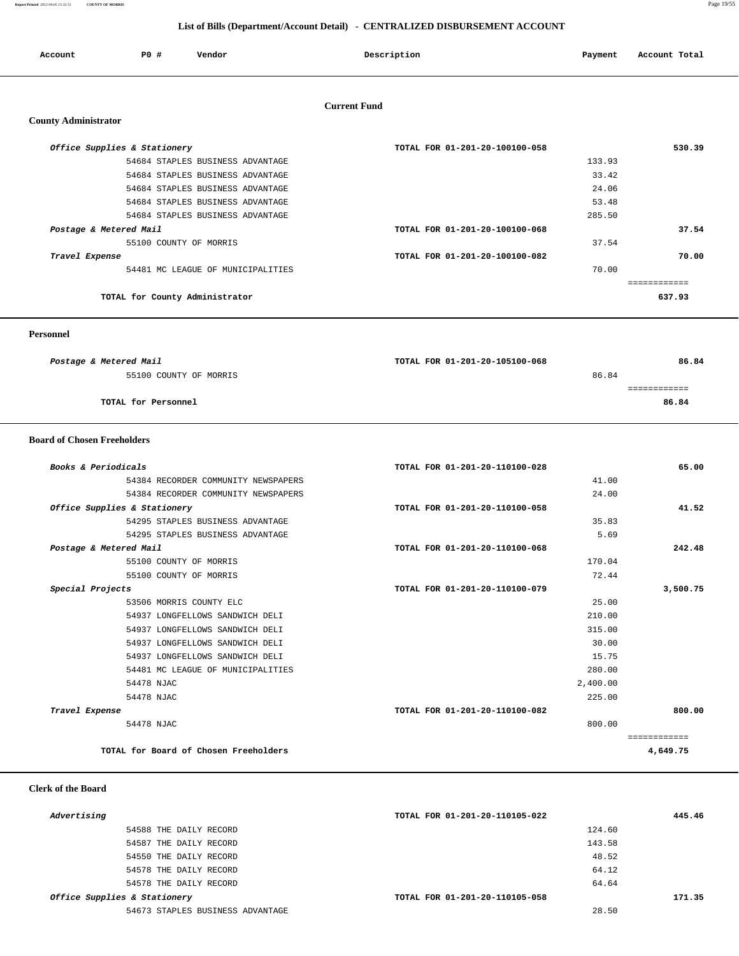**Report Printed** *2012-04-05 15:32:51* **COUNTY OF MORRIS** Page 19/55

## **List of Bills (Department/Account Detail) - CENTRALIZED DISBURSEMENT ACCOUNT**

| Account                     | PO#                          | Vendor                            | Description                    | Payment | Account Total |
|-----------------------------|------------------------------|-----------------------------------|--------------------------------|---------|---------------|
|                             |                              |                                   | <b>Current Fund</b>            |         |               |
| <b>County Administrator</b> |                              |                                   |                                |         |               |
|                             | Office Supplies & Stationery |                                   | TOTAL FOR 01-201-20-100100-058 |         | 530.39        |
|                             |                              | 54684 STAPLES BUSINESS ADVANTAGE  |                                | 133.93  |               |
|                             |                              | 54684 STAPLES BUSINESS ADVANTAGE  |                                | 33.42   |               |
|                             |                              | 54684 STAPLES BUSINESS ADVANTAGE  |                                | 24.06   |               |
|                             |                              | 54684 STAPLES BUSINESS ADVANTAGE  |                                | 53.48   |               |
|                             |                              | 54684 STAPLES BUSINESS ADVANTAGE  |                                | 285.50  |               |
| Postage & Metered Mail      |                              |                                   | TOTAL FOR 01-201-20-100100-068 |         | 37.54         |
|                             |                              | 55100 COUNTY OF MORRIS            |                                | 37.54   |               |
| Travel Expense              |                              |                                   | TOTAL FOR 01-201-20-100100-082 |         | 70.00         |
|                             |                              | 54481 MC LEAGUE OF MUNICIPALITIES |                                | 70.00   |               |
|                             |                              |                                   |                                |         | ============  |
|                             |                              | TOTAL for County Administrator    |                                |         | 637.93        |

 **Personnel** 

| Postage & Metered Mail | TOTAL FOR 01-201-20-105100-068 | 86.84 |
|------------------------|--------------------------------|-------|
| 55100 COUNTY OF MORRIS | 86.84                          |       |
|                        |                                |       |
| TOTAL for Personnel    |                                | 86.84 |
|                        |                                |       |

## **Board of Chosen Freeholders**

| Books & Periodicals                   | TOTAL FOR 01-201-20-110100-028 | 65.00        |
|---------------------------------------|--------------------------------|--------------|
| 54384 RECORDER COMMUNITY NEWSPAPERS   | 41.00                          |              |
| 54384 RECORDER COMMUNITY NEWSPAPERS   | 24.00                          |              |
| Office Supplies & Stationery          | TOTAL FOR 01-201-20-110100-058 | 41.52        |
| 54295 STAPLES BUSINESS ADVANTAGE      | 35.83                          |              |
| 54295 STAPLES BUSINESS ADVANTAGE      | 5.69                           |              |
| Postage & Metered Mail                | TOTAL FOR 01-201-20-110100-068 | 242.48       |
| 55100 COUNTY OF MORRIS                | 170.04                         |              |
| 55100 COUNTY OF MORRIS                | 72.44                          |              |
| Special Projects                      | TOTAL FOR 01-201-20-110100-079 | 3,500.75     |
| 53506 MORRIS COUNTY ELC               | 25.00                          |              |
| 54937 LONGFELLOWS SANDWICH DELI       | 210.00                         |              |
| 54937 LONGFELLOWS SANDWICH DELI       | 315.00                         |              |
| 54937 LONGFELLOWS SANDWICH DELI       | 30.00                          |              |
| 54937 LONGFELLOWS SANDWICH DELI       | 15.75                          |              |
| 54481 MC LEAGUE OF MUNICIPALITIES     | 280.00                         |              |
| 54478 NJAC                            | 2,400.00                       |              |
| 54478 NJAC                            | 225.00                         |              |
| Travel Expense                        | TOTAL FOR 01-201-20-110100-082 | 800.00       |
| 54478 NJAC                            | 800.00                         |              |
|                                       |                                | ============ |
| TOTAL for Board of Chosen Freeholders |                                | 4,649.75     |

## **Clerk of the Board**

| Advertising                      | TOTAL FOR 01-201-20-110105-022 | 445.46 |
|----------------------------------|--------------------------------|--------|
| 54588 THE DAILY RECORD           | 124.60                         |        |
| 54587 THE DAILY RECORD           | 143.58                         |        |
| 54550 THE DAILY RECORD           | 48.52                          |        |
| 54578 THE DAILY RECORD           | 64.12                          |        |
| 54578 THE DAILY RECORD           | 64.64                          |        |
| Office Supplies & Stationery     | TOTAL FOR 01-201-20-110105-058 | 171.35 |
| 54673 STAPLES BUSINESS ADVANTAGE | 28.50                          |        |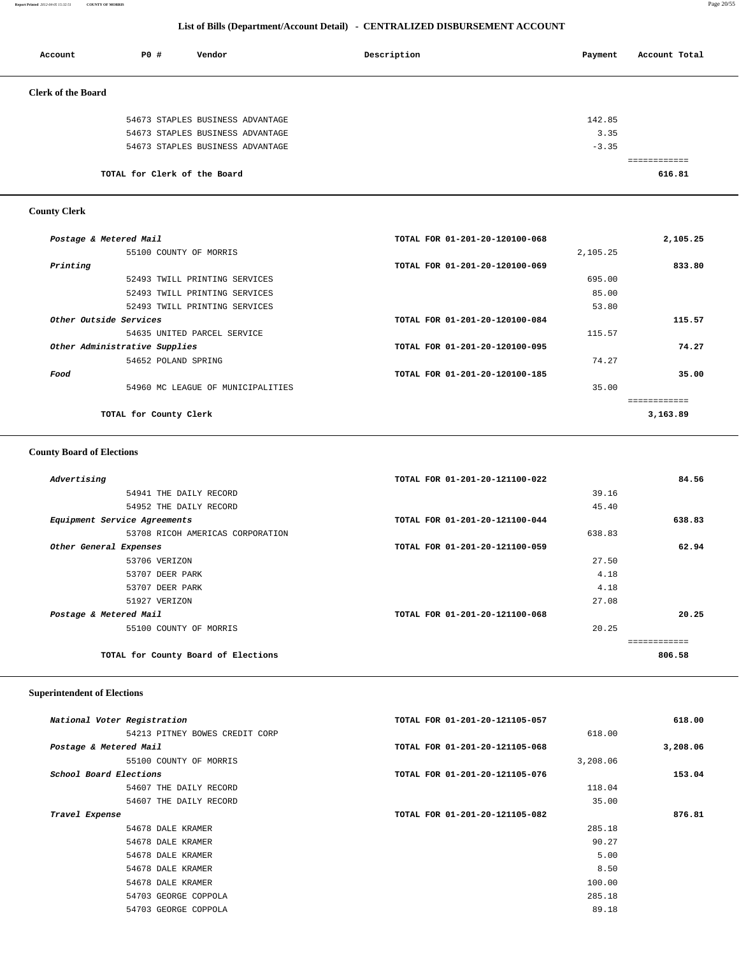**Report Printed** *2012-04-05 15:32:51* **COUNTY OF MORRIS** Page 20/55

## **List of Bills (Department/Account Detail) - CENTRALIZED DISBURSEMENT ACCOUNT**

| Account                   | P0#                          | Vendor                           | Description | Payment | Account Total           |
|---------------------------|------------------------------|----------------------------------|-------------|---------|-------------------------|
| <b>Clerk of the Board</b> |                              |                                  |             |         |                         |
|                           |                              | 54673 STAPLES BUSINESS ADVANTAGE |             | 142.85  |                         |
|                           |                              | 54673 STAPLES BUSINESS ADVANTAGE |             | 3.35    |                         |
|                           |                              | 54673 STAPLES BUSINESS ADVANTAGE |             | $-3.35$ |                         |
|                           |                              |                                  |             |         | , = = = = = = = = = = = |
|                           | TOTAL for Clerk of the Board |                                  |             |         | 616.81                  |

# **County Clerk**

| 2,105.25 |          | TOTAL FOR 01-201-20-120100-068 | Postage & Metered Mail            |                               |
|----------|----------|--------------------------------|-----------------------------------|-------------------------------|
|          | 2,105.25 |                                | 55100 COUNTY OF MORRIS            |                               |
| 833.80   |          | TOTAL FOR 01-201-20-120100-069 |                                   | Printing                      |
|          | 695.00   |                                | 52493 TWILL PRINTING SERVICES     |                               |
|          | 85.00    |                                | 52493 TWILL PRINTING SERVICES     |                               |
|          | 53.80    |                                | 52493 TWILL PRINTING SERVICES     |                               |
| 115.57   |          | TOTAL FOR 01-201-20-120100-084 |                                   | Other Outside Services        |
|          | 115.57   |                                | 54635 UNITED PARCEL SERVICE       |                               |
| 74.27    |          | TOTAL FOR 01-201-20-120100-095 |                                   | Other Administrative Supplies |
|          | 74.27    |                                | 54652 POLAND SPRING               |                               |
| 35.00    |          | TOTAL FOR 01-201-20-120100-185 |                                   | Food                          |
|          | 35.00    |                                | 54960 MC LEAGUE OF MUNICIPALITIES |                               |
|          |          |                                |                                   |                               |
| 3,163.89 |          |                                | TOTAL for County Clerk            |                               |

## **County Board of Elections**

| TOTAL FOR 01-201-20-121100-022 | Advertising                         |
|--------------------------------|-------------------------------------|
| 39.16                          | 54941 THE DAILY RECORD              |
| 45.40                          | 54952 THE DAILY RECORD              |
| TOTAL FOR 01-201-20-121100-044 | Equipment Service Agreements        |
| 638.83                         | 53708 RICOH AMERICAS CORPORATION    |
| TOTAL FOR 01-201-20-121100-059 | Other General Expenses              |
| 27.50                          | 53706 VERIZON                       |
| 4.18                           | 53707 DEER PARK                     |
| 4.18                           | 53707 DEER PARK                     |
| 27.08                          | 51927 VERIZON                       |
| TOTAL FOR 01-201-20-121100-068 | Postage & Metered Mail              |
| 20.25                          | 55100 COUNTY OF MORRIS              |
|                                |                                     |
|                                | TOTAL for County Board of Elections |
|                                |                                     |

## **Superintendent of Elections**

| National Voter Registration    | TOTAL FOR 01-201-20-121105-057 | 618.00   |
|--------------------------------|--------------------------------|----------|
| 54213 PITNEY BOWES CREDIT CORP | 618.00                         |          |
| Postage & Metered Mail         | TOTAL FOR 01-201-20-121105-068 | 3,208.06 |
| 55100 COUNTY OF MORRIS         | 3,208.06                       |          |
| School Board Elections         | TOTAL FOR 01-201-20-121105-076 | 153.04   |
| 54607 THE DAILY RECORD         | 118.04                         |          |
| 54607 THE DAILY RECORD         | 35.00                          |          |
| Travel Expense                 | TOTAL FOR 01-201-20-121105-082 | 876.81   |
| 54678 DALE KRAMER              | 285.18                         |          |
| 54678 DALE KRAMER              | 90.27                          |          |
| 54678 DALE KRAMER              | 5.00                           |          |
| 54678 DALE KRAMER              | 8.50                           |          |
| 54678 DALE KRAMER              | 100.00                         |          |
| 54703 GEORGE COPPOLA           | 285.18                         |          |
| 54703 GEORGE COPPOLA           | 89.18                          |          |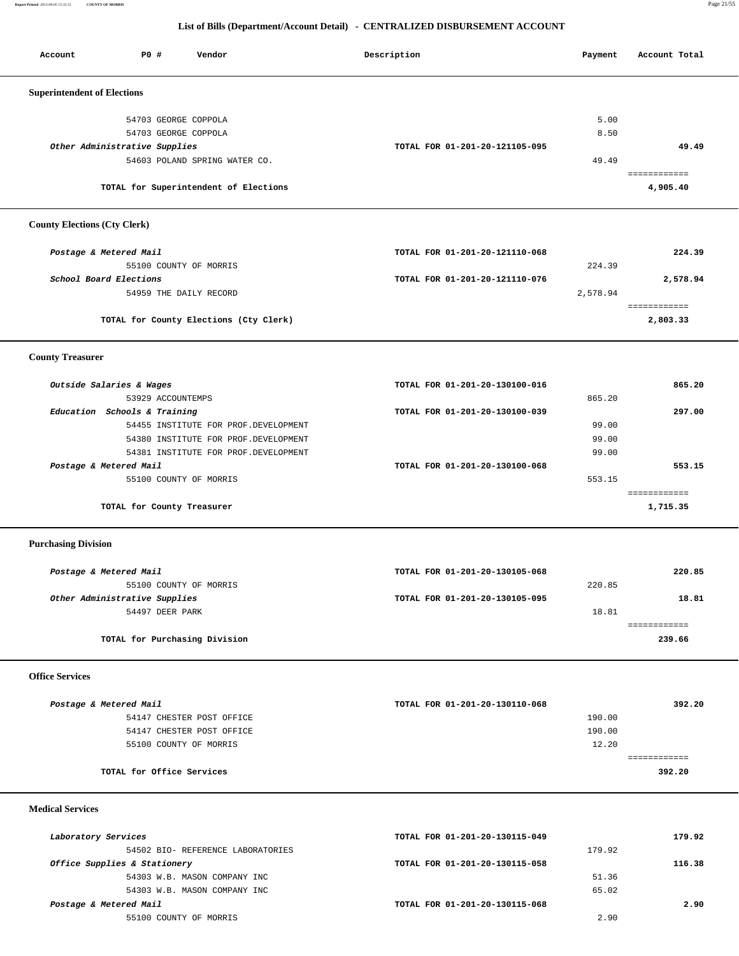**Report Printed** *2012-04-05 15:32:51* **COUNTY OF MORRIS** Page 21/55

## **List of Bills (Department/Account Detail) - CENTRALIZED DISBURSEMENT ACCOUNT**

Account P0 **#** Vendor **Description** Description Payment Account Total

| <b>Superintendent of Elections</b>                     |                                |          |                          |
|--------------------------------------------------------|--------------------------------|----------|--------------------------|
|                                                        |                                |          |                          |
| 54703 GEORGE COPPOLA                                   |                                | 5.00     |                          |
| 54703 GEORGE COPPOLA                                   |                                | 8.50     |                          |
| Other Administrative Supplies                          | TOTAL FOR 01-201-20-121105-095 |          | 49.49                    |
| 54603 POLAND SPRING WATER CO.                          |                                | 49.49    |                          |
| TOTAL for Superintendent of Elections                  |                                |          | ============<br>4,905.40 |
| <b>County Elections (Cty Clerk)</b>                    |                                |          |                          |
| Postage & Metered Mail                                 | TOTAL FOR 01-201-20-121110-068 |          | 224.39                   |
| 55100 COUNTY OF MORRIS                                 |                                | 224.39   |                          |
| School Board Elections                                 | TOTAL FOR 01-201-20-121110-076 |          | 2,578.94                 |
| 54959 THE DAILY RECORD                                 |                                | 2,578.94 |                          |
|                                                        |                                |          | ============             |
| TOTAL for County Elections (Cty Clerk)                 |                                |          | 2,803.33                 |
| <b>County Treasurer</b>                                |                                |          |                          |
| Outside Salaries & Wages                               | TOTAL FOR 01-201-20-130100-016 |          | 865.20                   |
| 53929 ACCOUNTEMPS                                      |                                | 865.20   |                          |
| Education Schools & Training                           | TOTAL FOR 01-201-20-130100-039 |          | 297.00                   |
| 54455 INSTITUTE FOR PROF. DEVELOPMENT                  |                                | 99.00    |                          |
| 54380 INSTITUTE FOR PROF. DEVELOPMENT                  |                                | 99.00    |                          |
| 54381 INSTITUTE FOR PROF. DEVELOPMENT                  |                                | 99.00    |                          |
|                                                        | TOTAL FOR 01-201-20-130100-068 |          | 553.15                   |
| Postage & Metered Mail                                 |                                |          |                          |
| 55100 COUNTY OF MORRIS                                 |                                | 553.15   | ============             |
| TOTAL for County Treasurer                             |                                |          | 1,715.35                 |
| <b>Purchasing Division</b>                             |                                |          |                          |
| Postage & Metered Mail                                 | TOTAL FOR 01-201-20-130105-068 |          | 220.85                   |
| 55100 COUNTY OF MORRIS                                 |                                | 220.85   |                          |
| Other Administrative Supplies                          | TOTAL FOR 01-201-20-130105-095 |          | 18.81                    |
| 54497 DEER PARK                                        |                                | 18.81    |                          |
|                                                        |                                |          | ============             |
| TOTAL for Purchasing Division                          |                                |          | 239.66                   |
| <b>Office Services</b>                                 |                                |          |                          |
|                                                        |                                |          |                          |
| Postage & Metered Mail                                 | TOTAL FOR 01-201-20-130110-068 |          | 392.20                   |
| 54147 CHESTER POST OFFICE<br>54147 CHESTER POST OFFICE |                                | 190.00   |                          |
|                                                        |                                | 190.00   |                          |
| 55100 COUNTY OF MORRIS                                 |                                | 12.20    | ============             |
| TOTAL for Office Services                              |                                |          | 392.20                   |
|                                                        |                                |          |                          |
| <b>Medical Services</b>                                |                                |          |                          |
| Laboratory Services                                    | TOTAL FOR 01-201-20-130115-049 |          | 179.92                   |
| 54502 BIO- REFERENCE LABORATORIES                      |                                | 179.92   |                          |
| Office Supplies & Stationery                           | TOTAL FOR 01-201-20-130115-058 |          | 116.38                   |
| 54303 W.B. MASON COMPANY INC                           |                                | 51.36    |                          |
| 54303 W.B. MASON COMPANY INC                           |                                | 65.02    |                          |
| Postage & Metered Mail                                 | TOTAL FOR 01-201-20-130115-068 |          | 2.90                     |
| 55100 COUNTY OF MORRIS                                 |                                | 2.90     |                          |
|                                                        |                                |          |                          |
|                                                        |                                |          |                          |
|                                                        |                                |          |                          |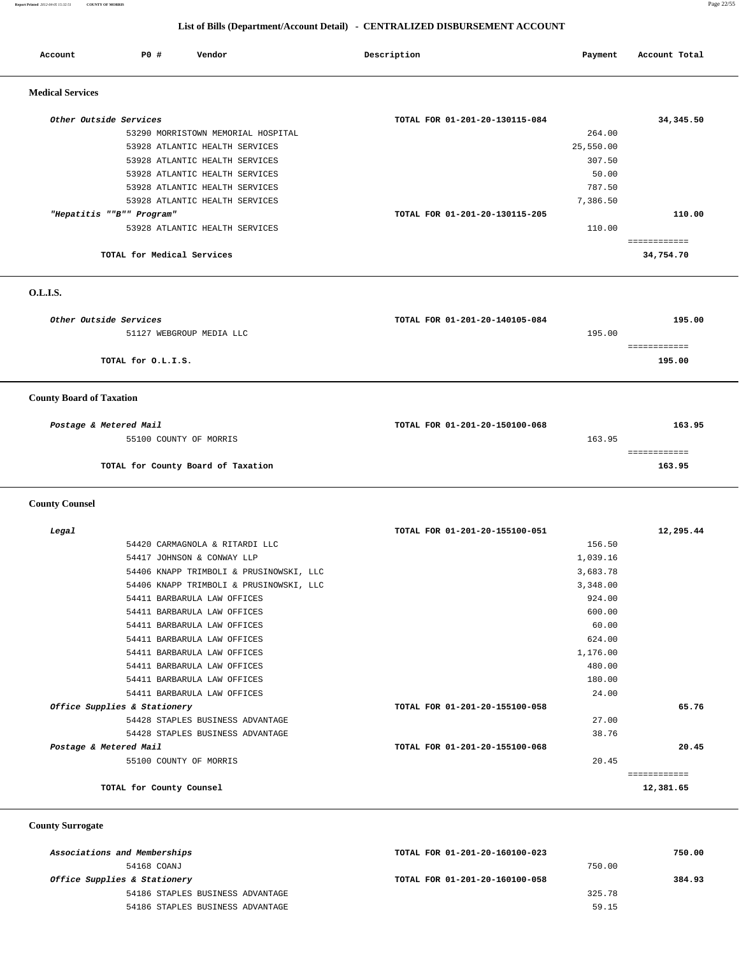**Report Printed** *2012-04-05 15:32:51* **COUNTY OF MORRIS** Page 22/55

## **List of Bills (Department/Account Detail) - CENTRALIZED DISBURSEMENT ACCOUNT**

| Account                 | PO#                        | Vendor                             | Description                    | Payment   | Account Total |
|-------------------------|----------------------------|------------------------------------|--------------------------------|-----------|---------------|
| <b>Medical Services</b> |                            |                                    |                                |           |               |
| Other Outside Services  |                            |                                    | TOTAL FOR 01-201-20-130115-084 |           | 34, 345.50    |
|                         |                            | 53290 MORRISTOWN MEMORIAL HOSPITAL |                                | 264.00    |               |
|                         |                            | 53928 ATLANTIC HEALTH SERVICES     |                                | 25,550.00 |               |
|                         |                            | 53928 ATLANTIC HEALTH SERVICES     |                                | 307.50    |               |
|                         |                            | 53928 ATLANTIC HEALTH SERVICES     |                                | 50.00     |               |
|                         |                            | 53928 ATLANTIC HEALTH SERVICES     |                                | 787.50    |               |
|                         |                            | 53928 ATLANTIC HEALTH SERVICES     |                                | 7,386.50  |               |
|                         | "Hepatitis ""B"" Program"  |                                    | TOTAL FOR 01-201-20-130115-205 |           | 110.00        |
|                         |                            | 53928 ATLANTIC HEALTH SERVICES     |                                | 110.00    |               |
|                         |                            |                                    |                                |           | =========     |
|                         | TOTAL for Medical Services |                                    |                                |           | 34,754.70     |

 **O.L.I.S.** 

| Other Outside Services          | TOTAL FOR 01-201-20-140105-084 | 195.00 |
|---------------------------------|--------------------------------|--------|
| 51127 WEBGROUP MEDIA LLC        | 195.00                         |        |
|                                 |                                |        |
| TOTAL for O.L.I.S.              |                                | 195.00 |
|                                 |                                |        |
| <b>County Board of Taxation</b> |                                |        |
|                                 |                                |        |

| Postage & Metered Mail             | TOTAL FOR 01-201-20-150100-068 | 163.95 |
|------------------------------------|--------------------------------|--------|
| 55100 COUNTY OF MORRIS             |                                | 163.95 |
|                                    |                                |        |
| TOTAL for County Board of Taxation |                                | 163.95 |

 **County Counsel** 

| Legal                                   | TOTAL FOR 01-201-20-155100-051 | 12,295.44 |
|-----------------------------------------|--------------------------------|-----------|
| 54420 CARMAGNOLA & RITARDI LLC          | 156.50                         |           |
| 54417 JOHNSON & CONWAY LLP              | 1,039.16                       |           |
| 54406 KNAPP TRIMBOLI & PRUSINOWSKI, LLC | 3,683.78                       |           |
| 54406 KNAPP TRIMBOLI & PRUSINOWSKI, LLC | 3,348.00                       |           |
| 54411 BARBARULA LAW OFFICES             | 924.00                         |           |
| 54411 BARBARULA LAW OFFICES             | 600.00                         |           |
| 54411 BARBARULA LAW OFFICES             | 60.00                          |           |
| 54411 BARBARULA LAW OFFICES             | 624.00                         |           |
| 54411 BARBARULA LAW OFFICES             | 1,176.00                       |           |
| 54411 BARBARULA LAW OFFICES             | 480.00                         |           |
| 54411 BARBARULA LAW OFFICES             | 180.00                         |           |
| 54411 BARBARULA LAW OFFICES             | 24.00                          |           |
| Office Supplies & Stationery            | TOTAL FOR 01-201-20-155100-058 | 65.76     |
| 54428 STAPLES BUSINESS ADVANTAGE        | 27.00                          |           |
| 54428 STAPLES BUSINESS ADVANTAGE        | 38.76                          |           |
| Postage & Metered Mail                  | TOTAL FOR 01-201-20-155100-068 | 20.45     |
| 55100 COUNTY OF MORRIS                  | 20.45                          |           |
|                                         |                                |           |
| TOTAL for County Counsel                |                                | 12,381.65 |

 **County Surrogate** 

| Associations and Memberships     | TOTAL FOR 01-201-20-160100-023 | 750.00 |
|----------------------------------|--------------------------------|--------|
| 54168 COANJ                      | 750.00                         |        |
| Office Supplies & Stationery     | TOTAL FOR 01-201-20-160100-058 | 384.93 |
| 54186 STAPLES BUSINESS ADVANTAGE | 325.78                         |        |
| 54186 STAPLES BUSINESS ADVANTAGE | 59.15                          |        |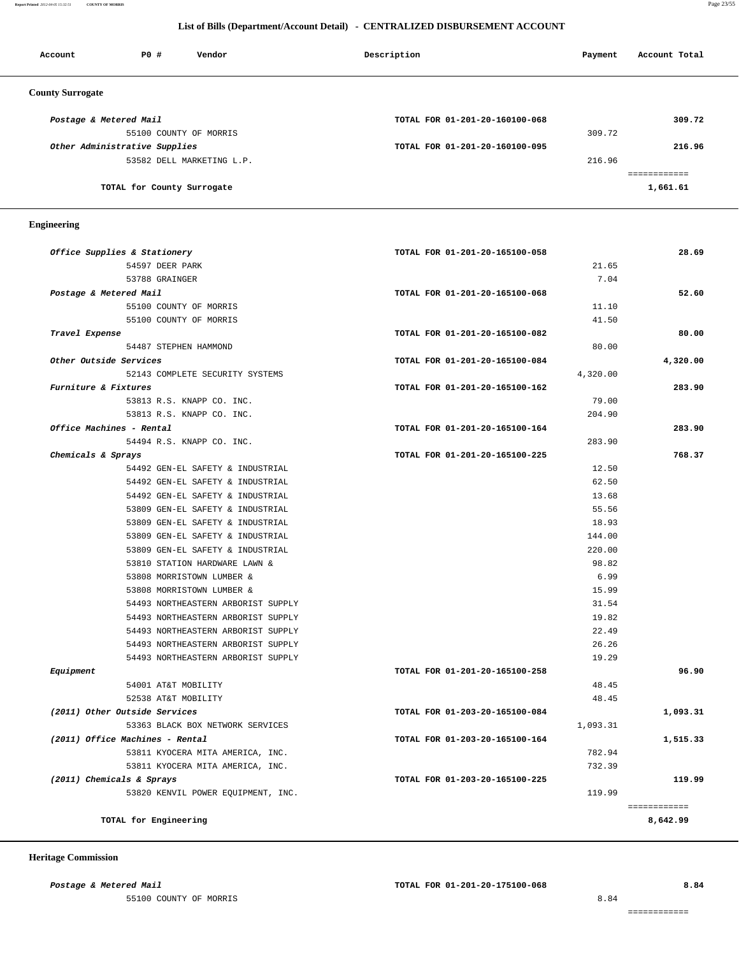#### **Report Printed** *2012-04-05 15:32:51* **COUNTY OF MORRIS** Page 23/55

## **List of Bills (Department/Account Detail) - CENTRALIZED DISBURSEMENT ACCOUNT**

| Account                 | PO#                           | Vendor                    | Description                    | Payment | Account Total |
|-------------------------|-------------------------------|---------------------------|--------------------------------|---------|---------------|
| <b>County Surrogate</b> |                               |                           |                                |         |               |
| Postage & Metered Mail  |                               |                           | TOTAL FOR 01-201-20-160100-068 |         | 309.72        |
|                         |                               | 55100 COUNTY OF MORRIS    |                                | 309.72  |               |
|                         | Other Administrative Supplies |                           | TOTAL FOR 01-201-20-160100-095 |         | 216.96        |
|                         |                               | 53582 DELL MARKETING L.P. |                                | 216.96  |               |
|                         |                               |                           |                                |         | ___________   |
|                         | TOTAL for County Surrogate    |                           |                                |         | 1,661.61      |

#### **Engineering**

| Office Supplies & Stationery       | TOTAL FOR 01-201-20-165100-058 | 28.69        |
|------------------------------------|--------------------------------|--------------|
| 54597 DEER PARK                    | 21.65                          |              |
| 53788 GRAINGER                     | 7.04                           |              |
| Postage & Metered Mail             | TOTAL FOR 01-201-20-165100-068 | 52.60        |
| 55100 COUNTY OF MORRIS             | 11.10                          |              |
| 55100 COUNTY OF MORRIS             | 41.50                          |              |
| Travel Expense                     | TOTAL FOR 01-201-20-165100-082 | 80.00        |
| 54487 STEPHEN HAMMOND              | 80.00                          |              |
| Other Outside Services             | TOTAL FOR 01-201-20-165100-084 | 4,320.00     |
| 52143 COMPLETE SECURITY SYSTEMS    | 4,320.00                       |              |
| Furniture & Fixtures               | TOTAL FOR 01-201-20-165100-162 | 283.90       |
| 53813 R.S. KNAPP CO. INC.          | 79.00                          |              |
| 53813 R.S. KNAPP CO. INC.          | 204.90                         |              |
| Office Machines - Rental           | TOTAL FOR 01-201-20-165100-164 | 283.90       |
| 54494 R.S. KNAPP CO. INC.          | 283.90                         |              |
| Chemicals & Sprays                 | TOTAL FOR 01-201-20-165100-225 | 768.37       |
| 54492 GEN-EL SAFETY & INDUSTRIAL   | 12.50                          |              |
| 54492 GEN-EL SAFETY & INDUSTRIAL   | 62.50                          |              |
| 54492 GEN-EL SAFETY & INDUSTRIAL   | 13.68                          |              |
| 53809 GEN-EL SAFETY & INDUSTRIAL   | 55.56                          |              |
| 53809 GEN-EL SAFETY & INDUSTRIAL   | 18.93                          |              |
| 53809 GEN-EL SAFETY & INDUSTRIAL   | 144.00                         |              |
| 53809 GEN-EL SAFETY & INDUSTRIAL   | 220.00                         |              |
| 53810 STATION HARDWARE LAWN &      | 98.82                          |              |
| 53808 MORRISTOWN LUMBER &          | 6.99                           |              |
| 53808 MORRISTOWN LUMBER &          | 15.99                          |              |
| 54493 NORTHEASTERN ARBORIST SUPPLY | 31.54                          |              |
| 54493 NORTHEASTERN ARBORIST SUPPLY | 19.82                          |              |
| 54493 NORTHEASTERN ARBORIST SUPPLY | 22.49                          |              |
| 54493 NORTHEASTERN ARBORIST SUPPLY | 26.26                          |              |
| 54493 NORTHEASTERN ARBORIST SUPPLY | 19.29                          |              |
| Equipment                          | TOTAL FOR 01-201-20-165100-258 | 96.90        |
| 54001 AT&T MOBILITY                | 48.45                          |              |
| 52538 AT&T MOBILITY                | 48.45                          |              |
| (2011) Other Outside Services      | TOTAL FOR 01-203-20-165100-084 | 1,093.31     |
| 53363 BLACK BOX NETWORK SERVICES   | 1,093.31                       |              |
| (2011) Office Machines - Rental    | TOTAL FOR 01-203-20-165100-164 | 1,515.33     |
| 53811 KYOCERA MITA AMERICA, INC.   | 782.94                         |              |
| 53811 KYOCERA MITA AMERICA, INC.   | 732.39                         |              |
| (2011) Chemicals & Sprays          | TOTAL FOR 01-203-20-165100-225 | 119.99       |
| 53820 KENVIL POWER EQUIPMENT, INC. | 119.99                         |              |
|                                    |                                | essessessess |
| TOTAL for Engineering              |                                | 8,642.99     |

 **Heritage Commission** 

55100 COUNTY OF MORRIS 8.84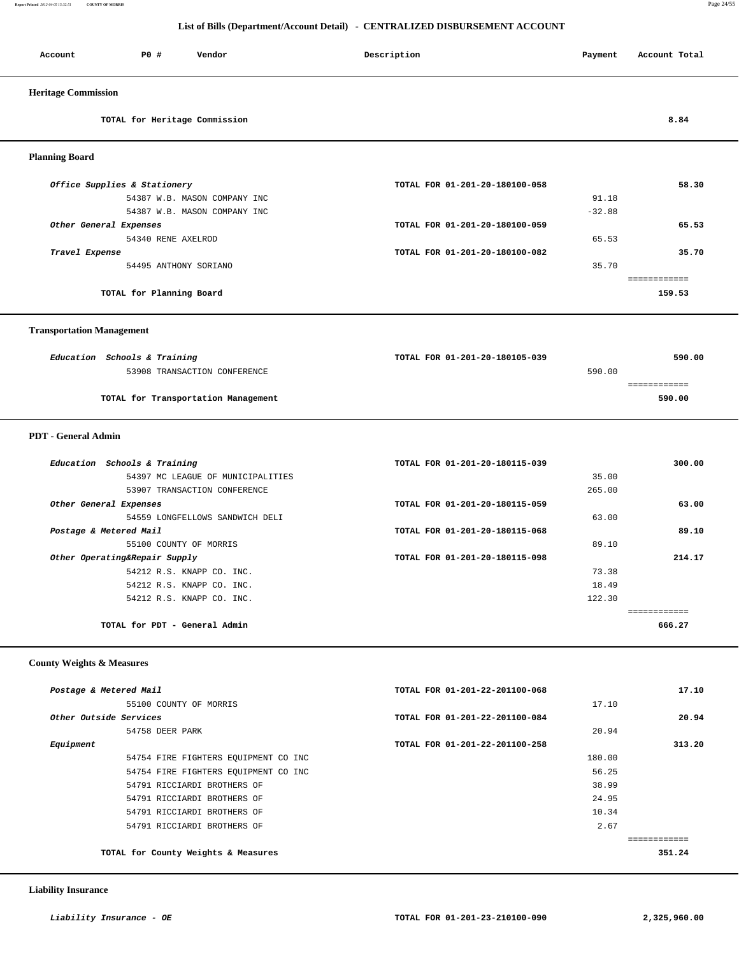**Report Printed** *2012-04-05 15:32:51* **COUNTY OF MORRIS** Page 24/55

## **List of Bills (Department/Account Detail) - CENTRALIZED DISBURSEMENT ACCOUNT**

| P0 #<br>Vendor<br>Account                                        | Description                    | Payment  | Account Total          |
|------------------------------------------------------------------|--------------------------------|----------|------------------------|
| <b>Heritage Commission</b>                                       |                                |          |                        |
| TOTAL for Heritage Commission                                    |                                |          | 8.84                   |
| <b>Planning Board</b>                                            |                                |          |                        |
| Office Supplies & Stationery                                     | TOTAL FOR 01-201-20-180100-058 |          | 58.30                  |
| 54387 W.B. MASON COMPANY INC                                     |                                | 91.18    |                        |
| 54387 W.B. MASON COMPANY INC                                     |                                | $-32.88$ |                        |
| Other General Expenses                                           | TOTAL FOR 01-201-20-180100-059 |          | 65.53                  |
| 54340 RENE AXELROD                                               |                                | 65.53    |                        |
| Travel Expense                                                   | TOTAL FOR 01-201-20-180100-082 |          | 35.70                  |
| 54495 ANTHONY SORIANO                                            |                                | 35.70    |                        |
| TOTAL for Planning Board                                         |                                |          | ============<br>159.53 |
| <b>Transportation Management</b><br>Education Schools & Training | TOTAL FOR 01-201-20-180105-039 |          | 590.00                 |
| 53908 TRANSACTION CONFERENCE                                     |                                | 590.00   |                        |
|                                                                  |                                |          | ============           |
| TOTAL for Transportation Management                              |                                |          | 590.00                 |
| <b>PDT</b> - General Admin                                       |                                |          |                        |
| Education Schools & Training                                     | TOTAL FOR 01-201-20-180115-039 |          | 300.00                 |
| 54397 MC LEAGUE OF MUNICIPALITIES                                |                                | 35.00    |                        |
| 53907 TRANSACTION CONFERENCE                                     |                                | 265.00   |                        |
| Other General Expenses                                           | TOTAL FOR 01-201-20-180115-059 |          | 63.00                  |
| 54559 LONGFELLOWS SANDWICH DELI                                  |                                | 63.00    |                        |
| Postage & Metered Mail                                           | TOTAL FOR 01-201-20-180115-068 |          | 89.10                  |
| 55100 COUNTY OF MORRIS                                           |                                | 89.10    |                        |
| Other Operating&Repair Supply                                    | TOTAL FOR 01-201-20-180115-098 |          | 214.17                 |
| 54212 R.S. KNAPP CO. INC.                                        |                                | 73.38    |                        |
| 54212 R.S. KNAPP CO. INC.                                        |                                | 18.49    |                        |
| 54212 R.S. KNAPP CO. INC.                                        |                                | 122.30   |                        |
|                                                                  |                                |          | ============           |
| TOTAL for PDT - General Admin                                    |                                |          | 666.27                 |
| <b>County Weights &amp; Measures</b>                             |                                |          |                        |
| Postage & Metered Mail                                           | TOTAL FOR 01-201-22-201100-068 |          | 17.10                  |
| $COTNIMY$ OR MORRIC                                              |                                |          |                        |

| 55100 COUNTY OF MORRIS               | 17.10                          |              |
|--------------------------------------|--------------------------------|--------------|
| Other Outside Services               | TOTAL FOR 01-201-22-201100-084 | 20.94        |
| 54758 DEER PARK                      | 20.94                          |              |
| Equipment                            | TOTAL FOR 01-201-22-201100-258 | 313.20       |
| 54754 FIRE FIGHTERS EOUIPMENT CO INC | 180.00                         |              |
| 54754 FIRE FIGHTERS EOUIPMENT CO INC | 56.25                          |              |
| 54791 RICCIARDI BROTHERS OF          | 38.99                          |              |
| 54791 RICCIARDI BROTHERS OF          | 24.95                          |              |
| 54791 RICCIARDI BROTHERS OF          | 10.34                          |              |
| 54791 RICCIARDI BROTHERS OF          | 2.67                           |              |
|                                      |                                | ------------ |
| TOTAL for County Weights & Measures  |                                | 351.24       |
|                                      |                                |              |

## **Liability Insurance**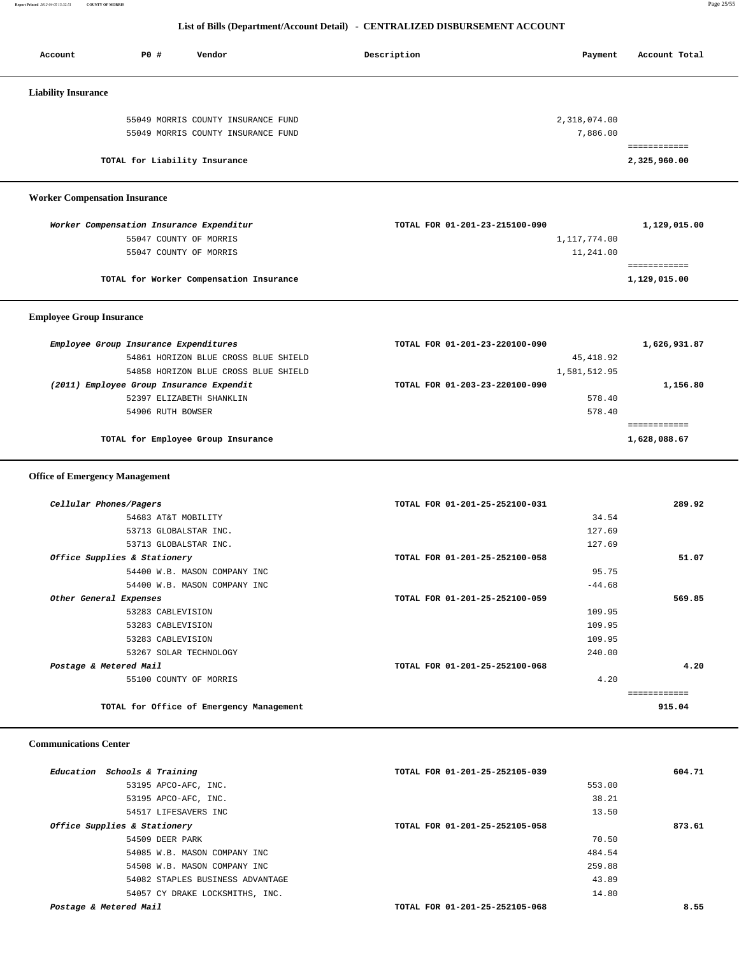**Report Printed** *2012-04-05 15:32:51* **COUNTY OF MORRIS** Page 25/55

# **List of Bills (Department/Account Detail) - CENTRALIZED DISBURSEMENT ACCOUNT**

| Account                               | P0 #            | Vendor                                                             | Description                    | Payment      | Account Total                |
|---------------------------------------|-----------------|--------------------------------------------------------------------|--------------------------------|--------------|------------------------------|
|                                       |                 |                                                                    |                                |              |                              |
| <b>Liability Insurance</b>            |                 |                                                                    |                                |              |                              |
|                                       |                 | 55049 MORRIS COUNTY INSURANCE FUND                                 |                                | 2,318,074.00 |                              |
|                                       |                 | 55049 MORRIS COUNTY INSURANCE FUND                                 |                                | 7,886.00     |                              |
|                                       |                 |                                                                    |                                |              | ============                 |
|                                       |                 | TOTAL for Liability Insurance                                      |                                |              | 2,325,960.00                 |
| <b>Worker Compensation Insurance</b>  |                 |                                                                    |                                |              |                              |
|                                       |                 |                                                                    | TOTAL FOR 01-201-23-215100-090 |              |                              |
|                                       |                 | Worker Compensation Insurance Expenditur<br>55047 COUNTY OF MORRIS |                                | 1,117,774.00 | 1,129,015.00                 |
|                                       |                 | 55047 COUNTY OF MORRIS                                             |                                | 11,241.00    |                              |
|                                       |                 |                                                                    |                                |              | ============                 |
|                                       |                 | TOTAL for Worker Compensation Insurance                            |                                |              | 1,129,015.00                 |
| <b>Employee Group Insurance</b>       |                 |                                                                    |                                |              |                              |
| Employee Group Insurance Expenditures |                 |                                                                    | TOTAL FOR 01-201-23-220100-090 |              | 1,626,931.87                 |
|                                       |                 | 54861 HORIZON BLUE CROSS BLUE SHIELD                               |                                | 45, 418.92   |                              |
|                                       |                 | 54858 HORIZON BLUE CROSS BLUE SHIELD                               |                                | 1,581,512.95 |                              |
|                                       |                 | (2011) Employee Group Insurance Expendit                           | TOTAL FOR 01-203-23-220100-090 |              | 1,156.80                     |
|                                       |                 | 52397 ELIZABETH SHANKLIN                                           |                                | 578.40       |                              |
|                                       |                 | 54906 RUTH BOWSER                                                  |                                | 578.40       |                              |
|                                       |                 | TOTAL for Employee Group Insurance                                 |                                |              | ============<br>1,628,088.67 |
|                                       |                 |                                                                    |                                |              |                              |
| <b>Office of Emergency Management</b> |                 |                                                                    |                                |              |                              |
|                                       |                 |                                                                    |                                |              |                              |
| Cellular Phones/Pagers                |                 |                                                                    | TOTAL FOR 01-201-25-252100-031 |              | 289.92                       |
|                                       |                 | 54683 AT&T MOBILITY                                                |                                | 34.54        |                              |
|                                       |                 | 53713 GLOBALSTAR INC.                                              |                                | 127.69       |                              |
|                                       |                 | 53713 GLOBALSTAR INC.                                              |                                | 127.69       |                              |
| Office Supplies & Stationery          |                 | 54400 W.B. MASON COMPANY INC                                       | TOTAL FOR 01-201-25-252100-058 | 95.75        | 51.07                        |
|                                       |                 | 54400 W.B. MASON COMPANY INC                                       |                                | $-44.68$     |                              |
| Other General Expenses                |                 |                                                                    | TOTAL FOR 01-201-25-252100-059 |              | 569.85                       |
|                                       |                 | 53283 CABLEVISION                                                  |                                | 109.95       |                              |
|                                       |                 | 53283 CABLEVISION                                                  |                                | 109.95       |                              |
|                                       |                 | 53283 CABLEVISION                                                  |                                | 109.95       |                              |
|                                       |                 | 53267 SOLAR TECHNOLOGY                                             |                                | 240.00       |                              |
| Postage & Metered Mail                |                 |                                                                    | TOTAL FOR 01-201-25-252100-068 |              | 4.20                         |
|                                       |                 | 55100 COUNTY OF MORRIS                                             |                                | 4.20         |                              |
|                                       |                 |                                                                    |                                |              | ============                 |
|                                       |                 | TOTAL for Office of Emergency Management                           |                                |              | 915.04                       |
| <b>Communications Center</b>          |                 |                                                                    |                                |              |                              |
| Education Schools & Training          |                 |                                                                    | TOTAL FOR 01-201-25-252105-039 |              | 604.71                       |
|                                       |                 | 53195 APCO-AFC, INC.                                               |                                | 553.00       |                              |
|                                       |                 | 53195 APCO-AFC, INC.                                               |                                | 38.21        |                              |
|                                       |                 | 54517 LIFESAVERS INC                                               |                                | 13.50        |                              |
| Office Supplies & Stationery          |                 |                                                                    | TOTAL FOR 01-201-25-252105-058 |              | 873.61                       |
|                                       | 54509 DEER PARK |                                                                    |                                | 70.50        |                              |
|                                       |                 | 54085 W.B. MASON COMPANY INC                                       |                                | 484.54       |                              |

 54508 W.B. MASON COMPANY INC 259.88 54082 STAPLES BUSINESS ADVANTAGE 43.89 54057 CY DRAKE LOCKSMITHS, INC.  $14.80$ 

 **Postage & Metered Mail TOTAL FOR 01-201-25-252105-068 8.55**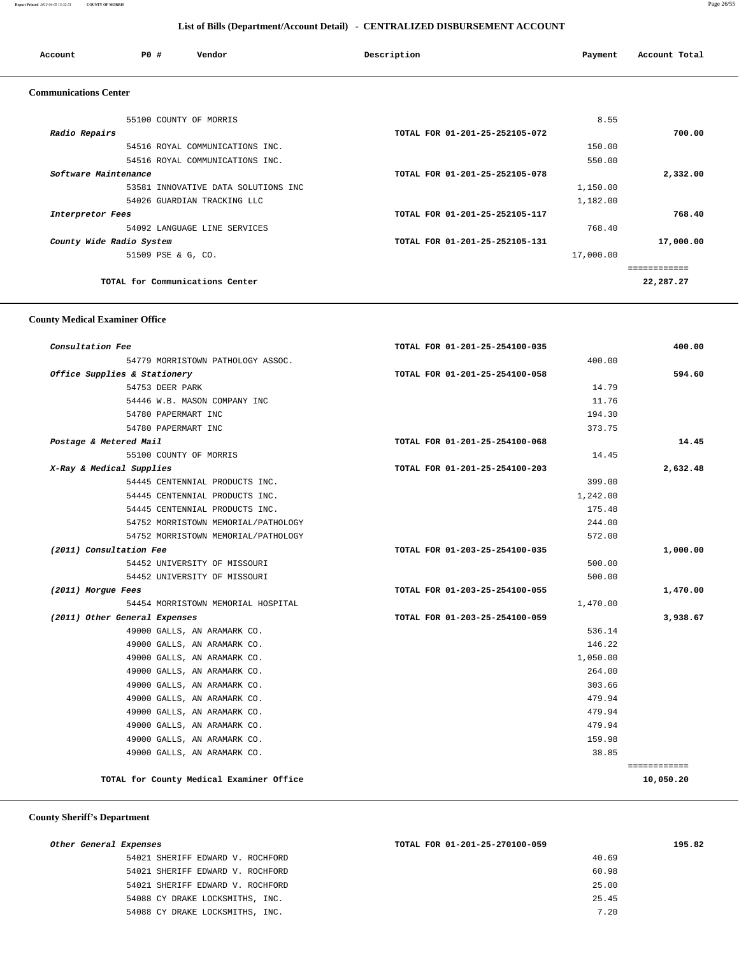#### **Report Printed** *2012-04-05 15:32:51* **COUNTY OF MORRIS** Page 26/55

## **List of Bills (Department/Account Detail) - CENTRALIZED DISBURSEMENT ACCOUNT**

| Account                      | PO#                             | Vendor                              | Description                    | Payment   | Account Total             |
|------------------------------|---------------------------------|-------------------------------------|--------------------------------|-----------|---------------------------|
| <b>Communications Center</b> |                                 |                                     |                                |           |                           |
|                              | 55100 COUNTY OF MORRIS          |                                     |                                | 8.55      |                           |
| Radio Repairs                |                                 |                                     | TOTAL FOR 01-201-25-252105-072 |           | 700.00                    |
|                              |                                 | 54516 ROYAL COMMUNICATIONS INC.     |                                | 150.00    |                           |
|                              |                                 | 54516 ROYAL COMMUNICATIONS INC.     |                                | 550.00    |                           |
| Software Maintenance         |                                 |                                     | TOTAL FOR 01-201-25-252105-078 |           | 2,332.00                  |
|                              |                                 | 53581 INNOVATIVE DATA SOLUTIONS INC |                                | 1,150.00  |                           |
|                              |                                 | 54026 GUARDIAN TRACKING LLC         |                                | 1,182.00  |                           |
| Interpretor Fees             |                                 |                                     | TOTAL FOR 01-201-25-252105-117 |           | 768.40                    |
|                              |                                 | 54092 LANGUAGE LINE SERVICES        |                                | 768.40    |                           |
|                              | County Wide Radio System        |                                     | TOTAL FOR 01-201-25-252105-131 |           | 17,000.00                 |
|                              | 51509 PSE & G, CO.              |                                     |                                | 17,000.00 |                           |
|                              | TOTAL for Communications Center |                                     |                                |           | ============<br>22,287.27 |

## **County Medical Examiner Office**

| Consultation Fee                         | TOTAL FOR 01-201-25-254100-035 | 400.00       |
|------------------------------------------|--------------------------------|--------------|
| 54779 MORRISTOWN PATHOLOGY ASSOC.        | 400.00                         |              |
| Office Supplies & Stationery             | TOTAL FOR 01-201-25-254100-058 | 594.60       |
| 54753 DEER PARK                          | 14.79                          |              |
| 54446 W.B. MASON COMPANY INC             | 11.76                          |              |
| 54780 PAPERMART INC                      | 194.30                         |              |
| 54780 PAPERMART INC                      | 373.75                         |              |
| Postage & Metered Mail                   | TOTAL FOR 01-201-25-254100-068 | 14.45        |
| 55100 COUNTY OF MORRIS                   | 14.45                          |              |
| X-Ray & Medical Supplies                 | TOTAL FOR 01-201-25-254100-203 | 2,632.48     |
| 54445 CENTENNIAL PRODUCTS INC.           | 399.00                         |              |
| 54445 CENTENNIAL PRODUCTS INC.           | 1,242.00                       |              |
| 54445 CENTENNIAL PRODUCTS INC.           | 175.48                         |              |
| 54752 MORRISTOWN MEMORIAL/PATHOLOGY      | 244.00                         |              |
| 54752 MORRISTOWN MEMORIAL/PATHOLOGY      | 572.00                         |              |
| (2011) Consultation Fee                  | TOTAL FOR 01-203-25-254100-035 | 1,000.00     |
| 54452 UNIVERSITY OF MISSOURI             | 500.00                         |              |
| 54452 UNIVERSITY OF MISSOURI             | 500.00                         |              |
| (2011) Morgue Fees                       | TOTAL FOR 01-203-25-254100-055 | 1,470.00     |
| 54454 MORRISTOWN MEMORIAL HOSPITAL       | 1,470.00                       |              |
| (2011) Other General Expenses            | TOTAL FOR 01-203-25-254100-059 | 3,938.67     |
| 49000 GALLS, AN ARAMARK CO.              | 536.14                         |              |
| 49000 GALLS, AN ARAMARK CO.              | 146.22                         |              |
| 49000 GALLS, AN ARAMARK CO.              | 1,050.00                       |              |
| 49000 GALLS, AN ARAMARK CO.              | 264.00                         |              |
| 49000 GALLS, AN ARAMARK CO.              | 303.66                         |              |
| 49000 GALLS, AN ARAMARK CO.              | 479.94                         |              |
| 49000 GALLS, AN ARAMARK CO.              | 479.94                         |              |
| 49000 GALLS, AN ARAMARK CO.              | 479.94                         |              |
| 49000 GALLS, AN ARAMARK CO.              | 159.98                         |              |
| 49000 GALLS, AN ARAMARK CO.              | 38.85                          |              |
|                                          |                                | ============ |
| TOTAL for County Medical Examiner Office |                                | 10,050.20    |

# **County Sheriff's Department**

| Other General Expenses           | TOTAL FOR 01-201-25-270100-059 | 195.82 |
|----------------------------------|--------------------------------|--------|
| 54021 SHERIFF EDWARD V. ROCHFORD | 40.69                          |        |
| 54021 SHERIFF EDWARD V. ROCHFORD | 60.98                          |        |
| 54021 SHERIFF EDWARD V. ROCHFORD | 25.00                          |        |
| 54088 CY DRAKE LOCKSMITHS, INC.  | 25.45                          |        |
| 54088 CY DRAKE LOCKSMITHS, INC.  | 7.20                           |        |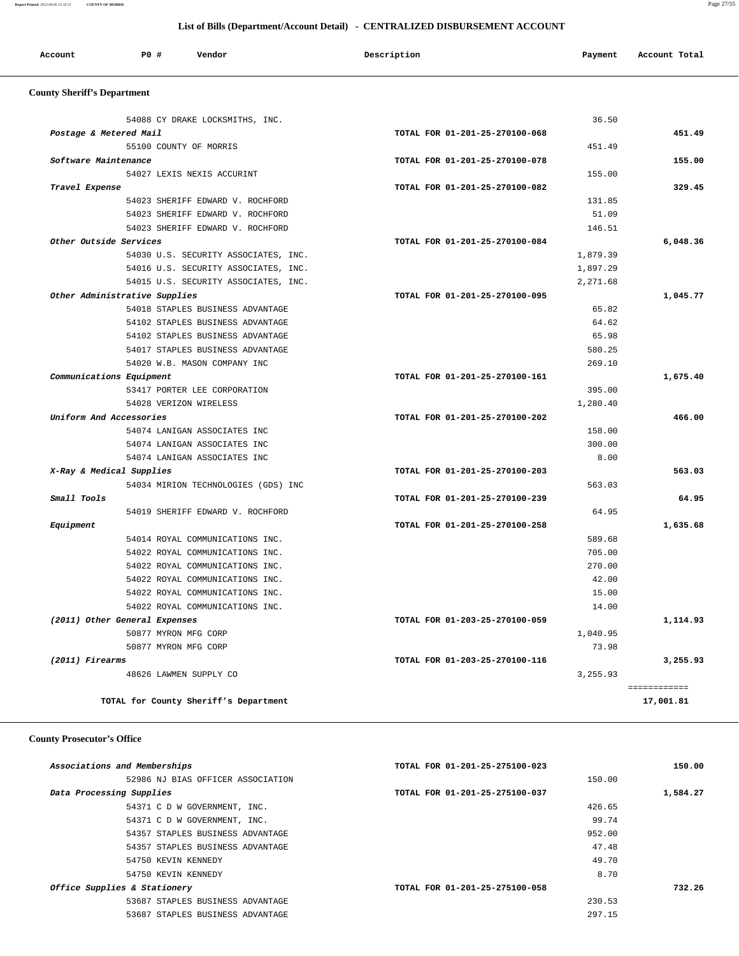**Report Printed** *2012-04-05 15:32:51* **COUNTY OF MORRIS** Page 27/55

# **List of Bills (Department/Account Detail) - CENTRALIZED DISBURSEMENT ACCOUNT**

| Account | <b>PO#</b> | Vendor | Description | Payment | Account Total |
|---------|------------|--------|-------------|---------|---------------|
|         |            |        |             |         |               |

# **County Sheriff's Department**

|                 | 54088 CY DRAKE LOCKSMITHS, INC.      |                                | 36.50    |          |
|-----------------|--------------------------------------|--------------------------------|----------|----------|
|                 | Postage & Metered Mail               | TOTAL FOR 01-201-25-270100-068 |          | 451.49   |
|                 | 55100 COUNTY OF MORRIS               |                                | 451.49   |          |
|                 | Software Maintenance                 | TOTAL FOR 01-201-25-270100-078 |          | 155.00   |
|                 | 54027 LEXIS NEXIS ACCURINT           |                                | 155.00   |          |
| Travel Expense  |                                      | TOTAL FOR 01-201-25-270100-082 |          | 329.45   |
|                 | 54023 SHERIFF EDWARD V. ROCHFORD     |                                | 131.85   |          |
|                 | 54023 SHERIFF EDWARD V. ROCHFORD     |                                | 51.09    |          |
|                 | 54023 SHERIFF EDWARD V. ROCHFORD     |                                | 146.51   |          |
|                 | Other Outside Services               | TOTAL FOR 01-201-25-270100-084 |          | 6,048.36 |
|                 | 54030 U.S. SECURITY ASSOCIATES, INC. |                                | 1,879.39 |          |
|                 | 54016 U.S. SECURITY ASSOCIATES, INC. |                                | 1,897.29 |          |
|                 | 54015 U.S. SECURITY ASSOCIATES, INC. |                                | 2,271.68 |          |
|                 | Other Administrative Supplies        | TOTAL FOR 01-201-25-270100-095 |          | 1,045.77 |
|                 | 54018 STAPLES BUSINESS ADVANTAGE     |                                | 65.82    |          |
|                 | 54102 STAPLES BUSINESS ADVANTAGE     |                                | 64.62    |          |
|                 | 54102 STAPLES BUSINESS ADVANTAGE     |                                | 65.98    |          |
|                 | 54017 STAPLES BUSINESS ADVANTAGE     |                                | 580.25   |          |
|                 | 54020 W.B. MASON COMPANY INC         |                                | 269.10   |          |
|                 | Communications Equipment             | TOTAL FOR 01-201-25-270100-161 |          | 1,675.40 |
|                 | 53417 PORTER LEE CORPORATION         |                                | 395.00   |          |
|                 | 54028 VERIZON WIRELESS               |                                | 1,280.40 |          |
|                 | Uniform And Accessories              | TOTAL FOR 01-201-25-270100-202 |          | 466.00   |
|                 | 54074 LANIGAN ASSOCIATES INC         |                                | 158.00   |          |
|                 | 54074 LANIGAN ASSOCIATES INC         |                                | 300.00   |          |
|                 | 54074 LANIGAN ASSOCIATES INC         |                                | 8.00     |          |
|                 | X-Ray & Medical Supplies             | TOTAL FOR 01-201-25-270100-203 |          | 563.03   |
|                 | 54034 MIRION TECHNOLOGIES (GDS) INC  |                                | 563.03   |          |
| Small Tools     |                                      | TOTAL FOR 01-201-25-270100-239 |          |          |
|                 | 54019 SHERIFF EDWARD V. ROCHFORD     |                                | 64.95    |          |
| Equipment       |                                      | TOTAL FOR 01-201-25-270100-258 |          | 1,635.68 |
|                 | 54014 ROYAL COMMUNICATIONS INC.      |                                | 589.68   |          |
|                 | 54022 ROYAL COMMUNICATIONS INC.      |                                | 705.00   |          |
|                 | 54022 ROYAL COMMUNICATIONS INC.      |                                | 270.00   |          |
|                 |                                      |                                | 42.00    |          |
|                 | 54022 ROYAL COMMUNICATIONS INC.      |                                |          |          |
|                 | 54022 ROYAL COMMUNICATIONS INC.      |                                | 15.00    |          |
|                 | 54022 ROYAL COMMUNICATIONS INC.      |                                | 14.00    |          |
|                 | (2011) Other General Expenses        | TOTAL FOR 01-203-25-270100-059 |          | 1,114.93 |
|                 | 50877 MYRON MFG CORP                 |                                | 1,040.95 |          |
|                 | 50877 MYRON MFG CORP                 |                                | 73.98    |          |
| (2011) Firearms |                                      | TOTAL FOR 01-203-25-270100-116 |          | 3,255.93 |

# **County Prosecutor's Office**

| Associations and Memberships |                                   | TOTAL FOR 01-201-25-275100-023 |        | 150.00   |
|------------------------------|-----------------------------------|--------------------------------|--------|----------|
|                              | 52986 NJ BIAS OFFICER ASSOCIATION |                                | 150.00 |          |
| Data Processing Supplies     |                                   | TOTAL FOR 01-201-25-275100-037 |        | 1,584.27 |
|                              | 54371 C D W GOVERNMENT, INC.      |                                | 426.65 |          |
|                              | 54371 C D W GOVERNMENT, INC.      |                                | 99.74  |          |
|                              | 54357 STAPLES BUSINESS ADVANTAGE  |                                | 952.00 |          |
|                              | 54357 STAPLES BUSINESS ADVANTAGE  |                                | 47.48  |          |
|                              | 54750 KEVIN KENNEDY               |                                | 49.70  |          |
|                              | 54750 KEVIN KENNEDY               |                                | 8.70   |          |
| Office Supplies & Stationery |                                   | TOTAL FOR 01-201-25-275100-058 |        | 732.26   |
|                              | 53687 STAPLES BUSINESS ADVANTAGE  |                                | 230.53 |          |
|                              | 53687 STAPLES BUSINESS ADVANTAGE  |                                | 297.15 |          |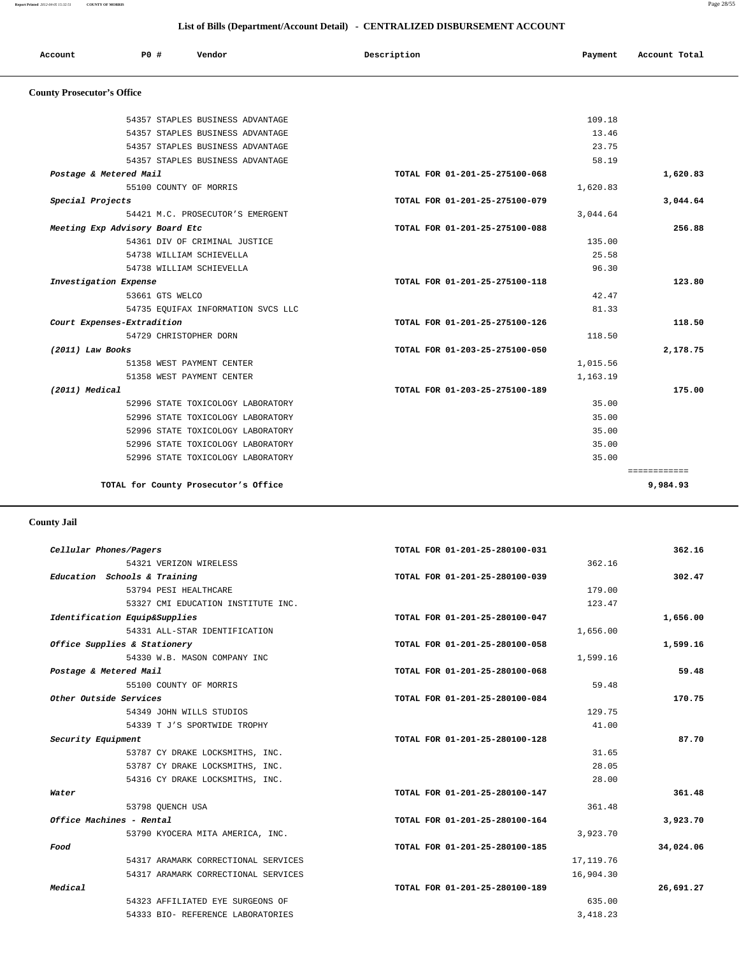| Account                           | PO# | Vendor | Description | Payment | Account Total |
|-----------------------------------|-----|--------|-------------|---------|---------------|
| <b>County Prosecutor's Office</b> |     |        |             |         |               |

|                                | 54357 STAPLES BUSINESS ADVANTAGE   |                                | 109.18   |              |
|--------------------------------|------------------------------------|--------------------------------|----------|--------------|
|                                | 54357 STAPLES BUSINESS ADVANTAGE   |                                | 13.46    |              |
|                                | 54357 STAPLES BUSINESS ADVANTAGE   |                                | 23.75    |              |
|                                | 54357 STAPLES BUSINESS ADVANTAGE   |                                | 58.19    |              |
| Postage & Metered Mail         |                                    | TOTAL FOR 01-201-25-275100-068 |          | 1,620.83     |
|                                | 55100 COUNTY OF MORRIS             |                                | 1,620.83 |              |
| Special Projects               |                                    | TOTAL FOR 01-201-25-275100-079 |          | 3,044.64     |
|                                | 54421 M.C. PROSECUTOR'S EMERGENT   |                                | 3,044.64 |              |
| Meeting Exp Advisory Board Etc |                                    | TOTAL FOR 01-201-25-275100-088 |          | 256.88       |
|                                | 54361 DIV OF CRIMINAL JUSTICE      |                                | 135.00   |              |
|                                | 54738 WILLIAM SCHIEVELLA           |                                | 25.58    |              |
|                                | 54738 WILLIAM SCHIEVELLA           |                                | 96.30    |              |
| Investigation Expense          |                                    | TOTAL FOR 01-201-25-275100-118 |          | 123.80       |
|                                | 53661 GTS WELCO                    |                                | 42.47    |              |
|                                | 54735 EQUIFAX INFORMATION SVCS LLC |                                | 81.33    |              |
| Court Expenses-Extradition     |                                    | TOTAL FOR 01-201-25-275100-126 |          | 118.50       |
|                                | 54729 CHRISTOPHER DORN             |                                | 118.50   |              |
| (2011) Law Books               |                                    | TOTAL FOR 01-203-25-275100-050 |          | 2,178.75     |
|                                | 51358 WEST PAYMENT CENTER          |                                | 1,015.56 |              |
|                                | 51358 WEST PAYMENT CENTER          |                                | 1,163.19 |              |
| (2011) Medical                 |                                    | TOTAL FOR 01-203-25-275100-189 |          | 175.00       |
|                                | 52996 STATE TOXICOLOGY LABORATORY  |                                | 35.00    |              |
|                                | 52996 STATE TOXICOLOGY LABORATORY  |                                | 35.00    |              |
|                                | 52996 STATE TOXICOLOGY LABORATORY  |                                | 35.00    |              |
|                                | 52996 STATE TOXICOLOGY LABORATORY  |                                | 35.00    |              |
|                                | 52996 STATE TOXICOLOGY LABORATORY  |                                | 35.00    |              |
|                                |                                    |                                |          | ============ |
|                                |                                    |                                |          |              |

 **County Jail** 

| 362.16    |            | TOTAL FOR 01-201-25-280100-031 |                                     | Cellular Phones/Pagers       |
|-----------|------------|--------------------------------|-------------------------------------|------------------------------|
|           | 362.16     |                                | 54321 VERIZON WIRELESS              |                              |
| 302.47    |            | TOTAL FOR 01-201-25-280100-039 | Education Schools & Training        |                              |
|           | 179.00     |                                | 53794 PESI HEALTHCARE               |                              |
|           | 123.47     |                                | 53327 CMI EDUCATION INSTITUTE INC.  |                              |
| 1,656.00  |            | TOTAL FOR 01-201-25-280100-047 | Identification Equip&Supplies       |                              |
|           | 1,656.00   |                                | 54331 ALL-STAR IDENTIFICATION       |                              |
| 1,599.16  |            | TOTAL FOR 01-201-25-280100-058 |                                     | Office Supplies & Stationery |
|           | 1,599.16   |                                | 54330 W.B. MASON COMPANY INC        |                              |
| 59.48     |            | TOTAL FOR 01-201-25-280100-068 |                                     | Postage & Metered Mail       |
|           | 59.48      |                                | 55100 COUNTY OF MORRIS              |                              |
| 170.75    |            | TOTAL FOR 01-201-25-280100-084 |                                     | Other Outside Services       |
|           | 129.75     |                                | 54349 JOHN WILLS STUDIOS            |                              |
|           | 41.00      |                                | 54339 T J'S SPORTWIDE TROPHY        |                              |
| 87.70     |            | TOTAL FOR 01-201-25-280100-128 |                                     | Security Equipment           |
|           | 31.65      |                                | 53787 CY DRAKE LOCKSMITHS, INC.     |                              |
|           | 28.05      |                                | 53787 CY DRAKE LOCKSMITHS, INC.     |                              |
|           | 28.00      |                                | 54316 CY DRAKE LOCKSMITHS, INC.     |                              |
| 361.48    |            | TOTAL FOR 01-201-25-280100-147 |                                     | Water                        |
|           | 361.48     |                                | 53798 OUENCH USA                    |                              |
| 3,923.70  |            | TOTAL FOR 01-201-25-280100-164 |                                     | Office Machines - Rental     |
|           | 3,923.70   |                                | 53790 KYOCERA MITA AMERICA, INC.    |                              |
| 34,024.06 |            | TOTAL FOR 01-201-25-280100-185 |                                     | Food                         |
|           | 17, 119.76 |                                | 54317 ARAMARK CORRECTIONAL SERVICES |                              |
|           | 16,904.30  |                                | 54317 ARAMARK CORRECTIONAL SERVICES |                              |
| 26,691.27 |            | TOTAL FOR 01-201-25-280100-189 |                                     | Medical                      |
|           | 635.00     |                                | 54323 AFFILIATED EYE SURGEONS OF    |                              |
|           | 3,418.23   |                                | 54333 BIO- REFERENCE LABORATORIES   |                              |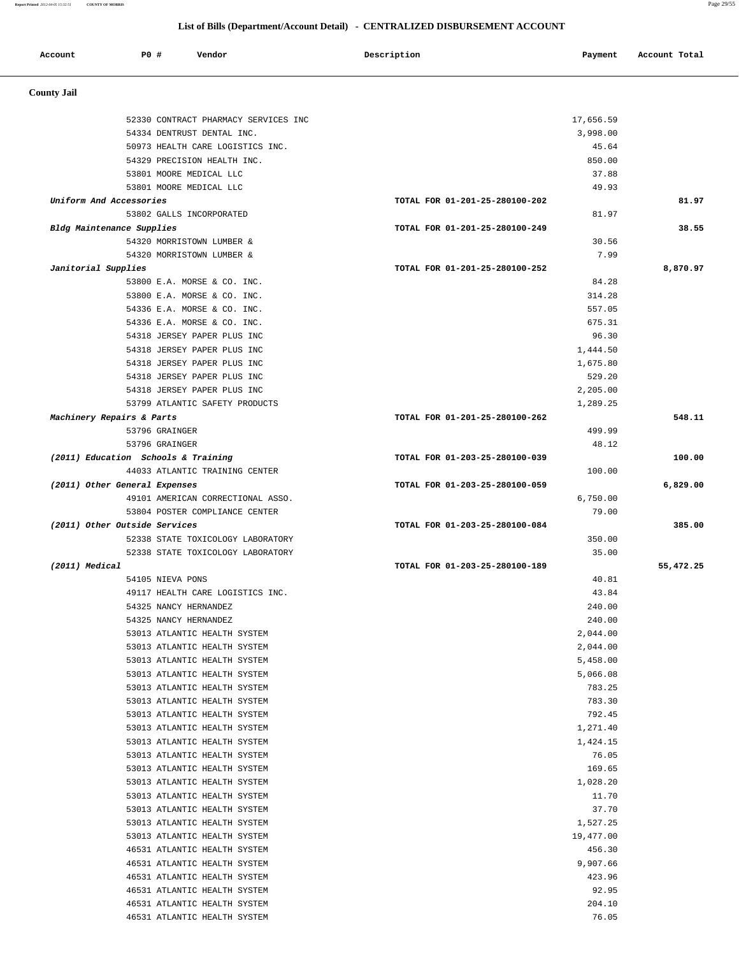**Report Printed** *2012-04-05 15:32:51* **COUNTY OF MORRIS** Page 29/55

## **List of Bills (Department/Account Detail) - CENTRALIZED DISBURSEMENT ACCOUNT**

| Account                       | <b>PO #</b> | Vendor                                                        | Description                    | Payment              | Account Total |
|-------------------------------|-------------|---------------------------------------------------------------|--------------------------------|----------------------|---------------|
|                               |             |                                                               |                                |                      |               |
| <b>County Jail</b>            |             |                                                               |                                |                      |               |
|                               |             | 52330 CONTRACT PHARMACY SERVICES INC                          |                                | 17,656.59            |               |
|                               |             | 54334 DENTRUST DENTAL INC.                                    |                                | 3,998.00             |               |
|                               |             | 50973 HEALTH CARE LOGISTICS INC.                              |                                | 45.64                |               |
|                               |             | 54329 PRECISION HEALTH INC.                                   |                                | 850.00               |               |
|                               |             | 53801 MOORE MEDICAL LLC                                       |                                | 37.88                |               |
|                               |             | 53801 MOORE MEDICAL LLC                                       |                                | 49.93                |               |
| Uniform And Accessories       |             |                                                               | TOTAL FOR 01-201-25-280100-202 |                      | 81.97         |
|                               |             | 53802 GALLS INCORPORATED                                      |                                | 81.97                |               |
| Bldg Maintenance Supplies     |             |                                                               | TOTAL FOR 01-201-25-280100-249 |                      | 38.55         |
|                               |             | 54320 MORRISTOWN LUMBER &                                     |                                | 30.56                |               |
|                               |             | 54320 MORRISTOWN LUMBER &                                     |                                | 7.99                 |               |
| Janitorial Supplies           |             |                                                               | TOTAL FOR 01-201-25-280100-252 |                      | 8,870.97      |
|                               |             | 53800 E.A. MORSE & CO. INC.                                   |                                | 84.28                |               |
|                               |             | 53800 E.A. MORSE & CO. INC.                                   |                                | 314.28               |               |
|                               |             | 54336 E.A. MORSE & CO. INC.                                   |                                | 557.05               |               |
|                               |             | 54336 E.A. MORSE & CO. INC.                                   |                                | 675.31               |               |
|                               |             | 54318 JERSEY PAPER PLUS INC                                   |                                | 96.30                |               |
|                               |             | 54318 JERSEY PAPER PLUS INC                                   |                                | 1,444.50             |               |
|                               |             | 54318 JERSEY PAPER PLUS INC                                   |                                | 1,675.80             |               |
|                               |             | 54318 JERSEY PAPER PLUS INC                                   |                                | 529.20               |               |
|                               |             | 54318 JERSEY PAPER PLUS INC<br>53799 ATLANTIC SAFETY PRODUCTS |                                | 2,205.00<br>1,289.25 |               |
| Machinery Repairs & Parts     |             |                                                               | TOTAL FOR 01-201-25-280100-262 |                      | 548.11        |
|                               |             | 53796 GRAINGER                                                |                                | 499.99               |               |
|                               |             | 53796 GRAINGER                                                |                                | 48.12                |               |
|                               |             | (2011) Education Schools & Training                           | TOTAL FOR 01-203-25-280100-039 |                      | 100.00        |
|                               |             | 44033 ATLANTIC TRAINING CENTER                                |                                | 100.00               |               |
| (2011) Other General Expenses |             |                                                               | TOTAL FOR 01-203-25-280100-059 |                      | 6,829.00      |
|                               |             | 49101 AMERICAN CORRECTIONAL ASSO.                             |                                | 6,750.00             |               |
|                               |             | 53804 POSTER COMPLIANCE CENTER                                |                                | 79.00                |               |
| (2011) Other Outside Services |             |                                                               | TOTAL FOR 01-203-25-280100-084 |                      | 385.00        |
|                               |             | 52338 STATE TOXICOLOGY LABORATORY                             |                                | 350.00               |               |
|                               |             | 52338 STATE TOXICOLOGY LABORATORY                             |                                | 35.00                |               |
| $(2011)$ Medical              |             |                                                               | TOTAL FOR 01-203-25-280100-189 |                      | 55,472.25     |
|                               |             | 54105 NIEVA PONS                                              |                                | 40.81                |               |
|                               |             | 49117 HEALTH CARE LOGISTICS INC.                              |                                | 43.84                |               |
|                               |             | 54325 NANCY HERNANDEZ                                         |                                | 240.00               |               |
|                               |             | 54325 NANCY HERNANDEZ                                         |                                | 240.00               |               |
|                               |             | 53013 ATLANTIC HEALTH SYSTEM                                  |                                | 2,044.00             |               |
|                               |             | 53013 ATLANTIC HEALTH SYSTEM                                  |                                | 2,044.00             |               |
|                               |             | 53013 ATLANTIC HEALTH SYSTEM<br>53013 ATLANTIC HEALTH SYSTEM  |                                | 5,458.00<br>5,066.08 |               |
|                               |             | 53013 ATLANTIC HEALTH SYSTEM                                  |                                | 783.25               |               |
|                               |             | 53013 ATLANTIC HEALTH SYSTEM                                  |                                | 783.30               |               |
|                               |             | 53013 ATLANTIC HEALTH SYSTEM                                  |                                | 792.45               |               |
|                               |             | 53013 ATLANTIC HEALTH SYSTEM                                  |                                | 1,271.40             |               |
|                               |             | 53013 ATLANTIC HEALTH SYSTEM                                  |                                | 1,424.15             |               |
|                               |             | 53013 ATLANTIC HEALTH SYSTEM                                  |                                | 76.05                |               |
|                               |             | 53013 ATLANTIC HEALTH SYSTEM                                  |                                | 169.65               |               |
|                               |             | 53013 ATLANTIC HEALTH SYSTEM                                  |                                | 1,028.20             |               |
|                               |             | 53013 ATLANTIC HEALTH SYSTEM                                  |                                | 11.70                |               |
|                               |             | 53013 ATLANTIC HEALTH SYSTEM                                  |                                | 37.70                |               |
|                               |             | 53013 ATLANTIC HEALTH SYSTEM                                  |                                | 1,527.25             |               |
|                               |             | 53013 ATLANTIC HEALTH SYSTEM                                  |                                | 19,477.00            |               |
|                               |             | 46531 ATLANTIC HEALTH SYSTEM                                  |                                | 456.30               |               |
|                               |             | 46531 ATLANTIC HEALTH SYSTEM                                  |                                | 9,907.66             |               |
|                               |             | 46531 ATLANTIC HEALTH SYSTEM                                  |                                | 423.96               |               |
|                               |             | 46531 ATLANTIC HEALTH SYSTEM                                  |                                | 92.95                |               |
|                               |             | 46531 ATLANTIC HEALTH SYSTEM                                  |                                | 204.10               |               |
|                               |             | 46531 ATLANTIC HEALTH SYSTEM                                  |                                | 76.05                |               |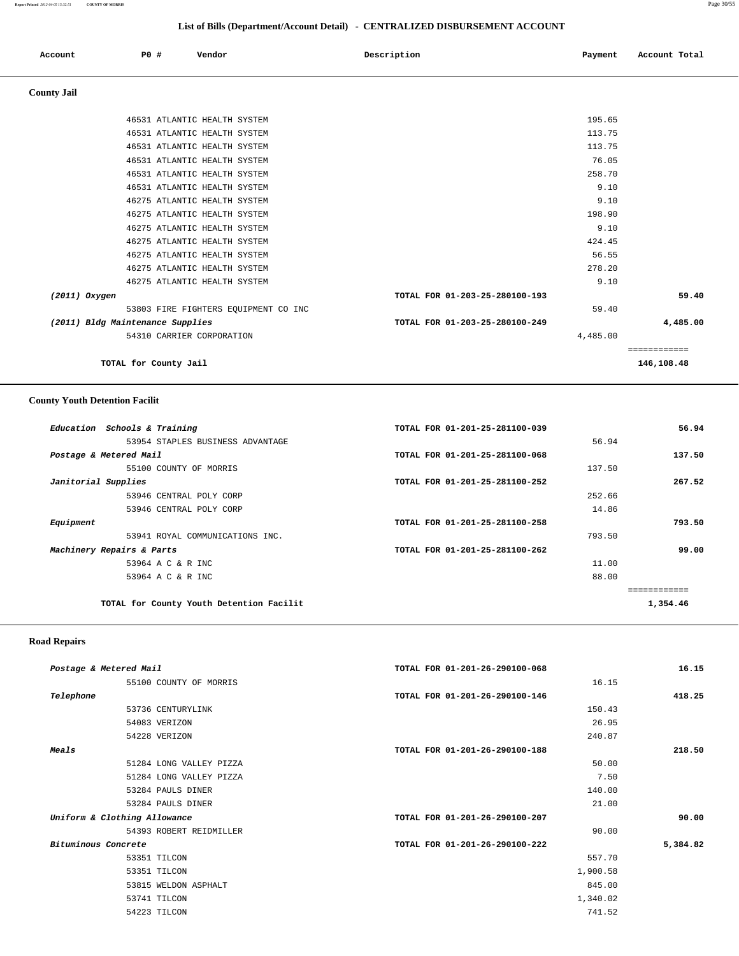| Account            | P0 #                             | Vendor                                                                                       | Description                    | Payment                   | Account Total |
|--------------------|----------------------------------|----------------------------------------------------------------------------------------------|--------------------------------|---------------------------|---------------|
| <b>County Jail</b> |                                  |                                                                                              |                                |                           |               |
|                    |                                  | 46531 ATLANTIC HEALTH SYSTEM<br>46531 ATLANTIC HEALTH SYSTEM                                 |                                | 195.65<br>113.75          |               |
|                    |                                  | 46531 ATLANTIC HEALTH SYSTEM<br>46531 ATLANTIC HEALTH SYSTEM<br>46531 ATLANTIC HEALTH SYSTEM |                                | 113.75<br>76.05<br>258.70 |               |
|                    |                                  | 46531 ATLANTIC HEALTH SYSTEM<br>46275 ATLANTIC HEALTH SYSTEM                                 |                                | 9.10<br>9.10              |               |
|                    |                                  | 46275 ATLANTIC HEALTH SYSTEM<br>46275 ATLANTIC HEALTH SYSTEM                                 |                                | 198.90<br>9.10            |               |
|                    |                                  | 46275 ATLANTIC HEALTH SYSTEM<br>46275 ATLANTIC HEALTH SYSTEM<br>46275 ATLANTIC HEALTH SYSTEM |                                | 424.45<br>56.55<br>278.20 |               |
| $(2011)$ Oxygen    |                                  | 46275 ATLANTIC HEALTH SYSTEM                                                                 | TOTAL FOR 01-203-25-280100-193 | 9.10                      | 59.40         |
|                    | (2011) Bldg Maintenance Supplies | 53803 FIRE FIGHTERS EQUIPMENT CO INC                                                         | TOTAL FOR 01-203-25-280100-249 | 59.40                     | 4,485.00      |
|                    |                                  | 54310 CARRIER CORPORATION                                                                    |                                | 4,485.00                  | ============  |

**TOTAL for County Jail 146,108.48**

## **County Youth Detention Facilit**

| Education Schools & Training             | TOTAL FOR 01-201-25-281100-039 | 56.94    |
|------------------------------------------|--------------------------------|----------|
| 53954 STAPLES BUSINESS ADVANTAGE         | 56.94                          |          |
| Postage & Metered Mail                   | TOTAL FOR 01-201-25-281100-068 | 137.50   |
| 55100 COUNTY OF MORRIS                   | 137.50                         |          |
| Janitorial Supplies                      | TOTAL FOR 01-201-25-281100-252 | 267.52   |
| 53946 CENTRAL POLY CORP                  | 252.66                         |          |
| 53946 CENTRAL POLY CORP                  | 14.86                          |          |
| Equipment                                | TOTAL FOR 01-201-25-281100-258 | 793.50   |
| 53941 ROYAL COMMUNICATIONS INC.          | 793.50                         |          |
| Machinery Repairs & Parts                | TOTAL FOR 01-201-25-281100-262 | 99.00    |
| 53964 A C & R INC                        | 11.00                          |          |
| 53964 A C & R INC                        | 88.00                          |          |
|                                          |                                |          |
| TOTAL for County Youth Detention Facilit |                                | 1,354.46 |

# **Road Repairs**

| 16.15    | TOTAL FOR 01-201-26-290100-068 |                         | Postage & Metered Mail       |
|----------|--------------------------------|-------------------------|------------------------------|
| 16.15    |                                | 55100 COUNTY OF MORRIS  |                              |
| 418.25   | TOTAL FOR 01-201-26-290100-146 |                         | Telephone                    |
| 150.43   |                                | 53736 CENTURYLINK       |                              |
| 26.95    |                                | 54083 VERIZON           |                              |
| 240.87   |                                | 54228 VERIZON           |                              |
| 218.50   | TOTAL FOR 01-201-26-290100-188 |                         | Meals                        |
| 50.00    |                                | 51284 LONG VALLEY PIZZA |                              |
| 7.50     |                                | 51284 LONG VALLEY PIZZA |                              |
| 140.00   |                                | 53284 PAULS DINER       |                              |
| 21.00    |                                | 53284 PAULS DINER       |                              |
| 90.00    | TOTAL FOR 01-201-26-290100-207 |                         | Uniform & Clothing Allowance |
| 90.00    |                                | 54393 ROBERT REIDMILLER |                              |
| 5,384.82 | TOTAL FOR 01-201-26-290100-222 |                         | Bituminous Concrete          |
| 557.70   |                                | 53351 TILCON            |                              |
| 1,900.58 |                                | 53351 TILCON            |                              |
| 845.00   |                                | 53815 WELDON ASPHALT    |                              |
| 1,340.02 |                                | 53741 TILCON            |                              |
| 741.52   |                                | 54223 TILCON            |                              |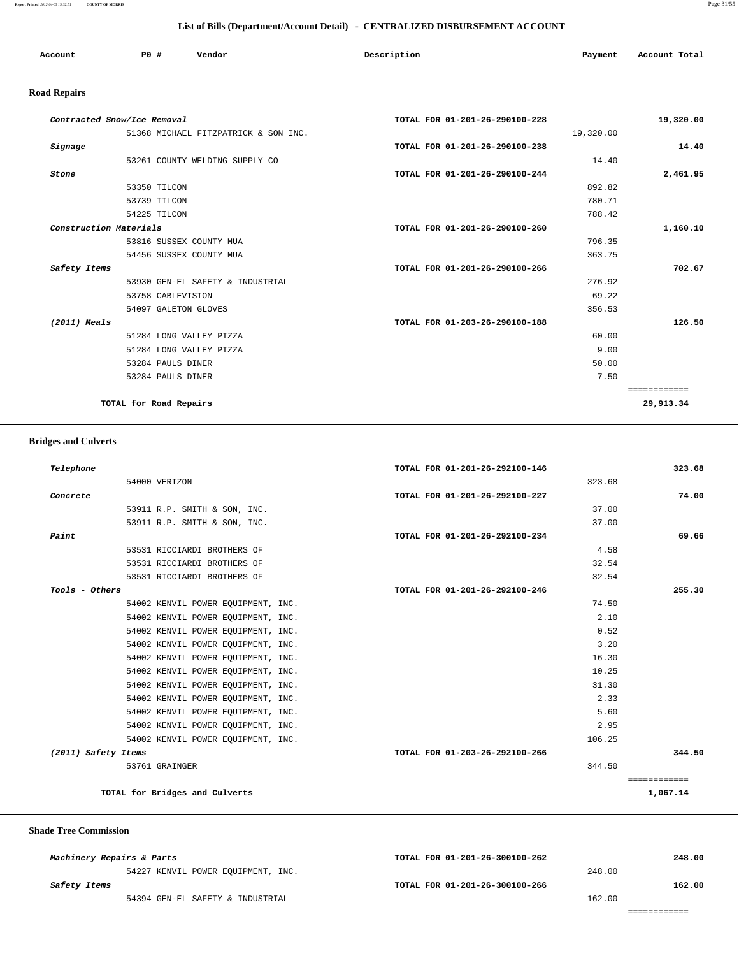**Report Printed** *2012-04-05 15:32:51* **COUNTY OF MORRIS** Page 31/55

## **List of Bills (Department/Account Detail) - CENTRALIZED DISBURSEMENT ACCOUNT**

| Account | <b>PO #</b> | Vendor | Description | Payment | Account Total |
|---------|-------------|--------|-------------|---------|---------------|
|         |             |        |             |         |               |

# **Road Repairs**

| Contracted Snow/Ice Removal          | TOTAL FOR 01-201-26-290100-228 | 19,320.00    |
|--------------------------------------|--------------------------------|--------------|
| 51368 MICHAEL FITZPATRICK & SON INC. | 19,320.00                      |              |
| Signage                              | TOTAL FOR 01-201-26-290100-238 | 14.40        |
| 53261 COUNTY WELDING SUPPLY CO       |                                | 14.40        |
| Stone                                | TOTAL FOR 01-201-26-290100-244 | 2,461.95     |
| 53350 TILCON                         |                                | 892.82       |
| 53739 TILCON                         |                                | 780.71       |
| 54225 TILCON                         |                                | 788.42       |
| Construction Materials               | TOTAL FOR 01-201-26-290100-260 | 1,160.10     |
| 53816 SUSSEX COUNTY MUA              |                                | 796.35       |
| 54456 SUSSEX COUNTY MUA              |                                | 363.75       |
| Safety Items                         | TOTAL FOR 01-201-26-290100-266 | 702.67       |
| 53930 GEN-EL SAFETY & INDUSTRIAL     |                                | 276.92       |
| 53758 CABLEVISION                    |                                | 69.22        |
| 54097 GALETON GLOVES                 |                                | 356.53       |
| $(2011)$ Meals                       | TOTAL FOR 01-203-26-290100-188 | 126.50       |
| 51284 LONG VALLEY PIZZA              |                                | 60.00        |
| 51284 LONG VALLEY PIZZA              |                                | 9.00         |
| 53284 PAULS DINER                    |                                | 50.00        |
| 53284 PAULS DINER                    |                                | 7.50         |
|                                      |                                | ============ |
| TOTAL for Road Repairs               |                                | 29,913.34    |

## **Bridges and Culverts**

| 323.68       | TOTAL FOR 01-201-26-292100-146 | Telephone                          |
|--------------|--------------------------------|------------------------------------|
|              | 323.68                         | 54000 VERIZON                      |
| 74.00        | TOTAL FOR 01-201-26-292100-227 | Concrete                           |
|              | 37.00                          | 53911 R.P. SMITH & SON, INC.       |
|              | 37.00                          | 53911 R.P. SMITH & SON, INC.       |
| 69.66        | TOTAL FOR 01-201-26-292100-234 | Paint                              |
|              | 4.58                           | 53531 RICCIARDI BROTHERS OF        |
|              | 32.54                          | 53531 RICCIARDI BROTHERS OF        |
|              | 32.54                          | 53531 RICCIARDI BROTHERS OF        |
| 255.30       | TOTAL FOR 01-201-26-292100-246 | Tools - Others                     |
|              | 74.50                          | 54002 KENVIL POWER EQUIPMENT, INC. |
|              | 2.10                           | 54002 KENVIL POWER EQUIPMENT, INC. |
|              | 0.52                           | 54002 KENVIL POWER EQUIPMENT, INC. |
|              | 3.20                           | 54002 KENVIL POWER EQUIPMENT, INC. |
|              | 16.30                          | 54002 KENVIL POWER EQUIPMENT, INC. |
|              | 10.25                          | 54002 KENVIL POWER EQUIPMENT, INC. |
|              | 31.30                          | 54002 KENVIL POWER EQUIPMENT, INC. |
|              | 2.33                           | 54002 KENVIL POWER EQUIPMENT, INC. |
|              | 5.60                           | 54002 KENVIL POWER EQUIPMENT, INC. |
|              | 2.95                           | 54002 KENVIL POWER EQUIPMENT, INC. |
|              | 106.25                         | 54002 KENVIL POWER EQUIPMENT, INC. |
| 344.50       | TOTAL FOR 01-203-26-292100-266 | (2011) Safety Items                |
|              | 344.50                         | 53761 GRAINGER                     |
| ============ |                                |                                    |
| 1,067.14     |                                | TOTAL for Bridges and Culverts     |

 **Shade Tree Commission** 

| Machinery Repairs & Parts |                                    | TOTAL FOR 01-201-26-300100-262 |        | 248.00 |
|---------------------------|------------------------------------|--------------------------------|--------|--------|
|                           | 54227 KENVIL POWER EQUIPMENT, INC. |                                | 248.00 |        |
| Safety Items              |                                    | TOTAL FOR 01-201-26-300100-266 |        | 162.00 |
|                           | 54394 GEN-EL SAFETY & INDUSTRIAL   |                                | 162.00 |        |
|                           |                                    |                                |        |        |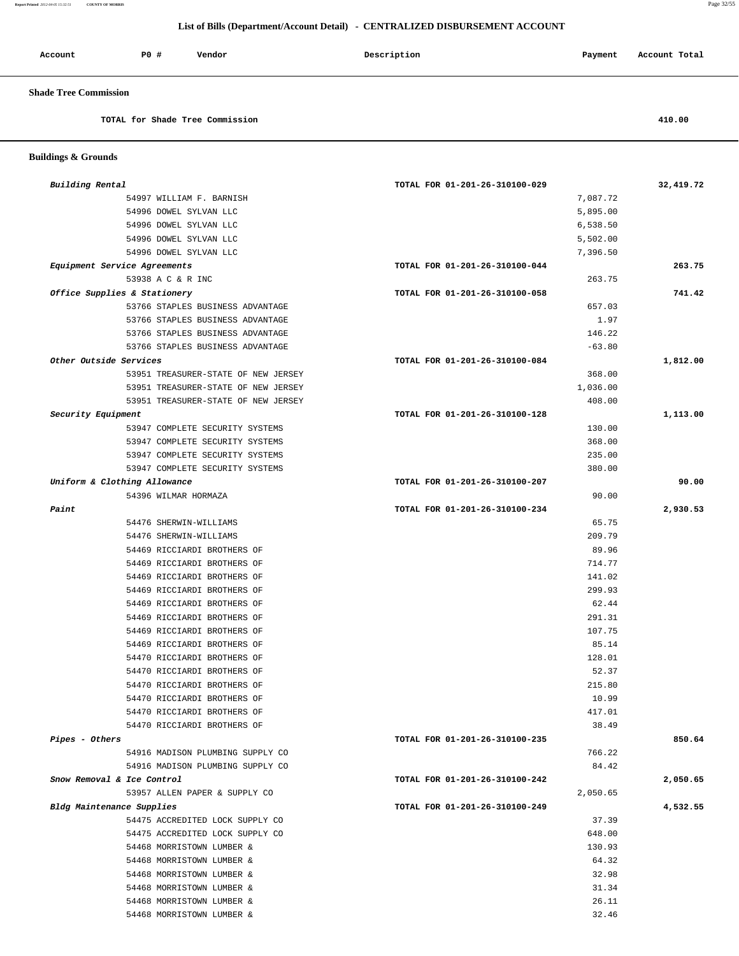**Report Printed** *2012-04-05 15:32:51* **COUNTY OF MORRIS** Page 32/55

 **Buildings & Grounds** 

## **List of Bills (Department/Account Detail) - CENTRALIZED DISBURSEMENT ACCOUNT**

| Account                      | P0 # | Vendor                          | Description | Payment | Account Total |
|------------------------------|------|---------------------------------|-------------|---------|---------------|
| <b>Shade Tree Commission</b> |      |                                 |             |         |               |
|                              |      | TOTAL for Shade Tree Commission |             |         | 410.00        |
|                              |      |                                 |             |         |               |

| Building Rental              |                                     | TOTAL FOR 01-201-26-310100-029 | 32,419.72 |
|------------------------------|-------------------------------------|--------------------------------|-----------|
| 54997 WILLIAM F. BARNISH     |                                     | 7,087.72                       |           |
| 54996 DOWEL SYLVAN LLC       |                                     | 5,895.00                       |           |
| 54996 DOWEL SYLVAN LLC       |                                     | 6,538.50                       |           |
| 54996 DOWEL SYLVAN LLC       |                                     | 5,502.00                       |           |
| 54996 DOWEL SYLVAN LLC       |                                     | 7,396.50                       |           |
| Equipment Service Agreements |                                     | TOTAL FOR 01-201-26-310100-044 | 263.75    |
| 53938 A C & R INC            |                                     | 263.75                         |           |
| Office Supplies & Stationery |                                     | TOTAL FOR 01-201-26-310100-058 | 741.42    |
|                              | 53766 STAPLES BUSINESS ADVANTAGE    | 657.03                         |           |
|                              | 53766 STAPLES BUSINESS ADVANTAGE    |                                | 1.97      |
|                              | 53766 STAPLES BUSINESS ADVANTAGE    | 146.22                         |           |
|                              | 53766 STAPLES BUSINESS ADVANTAGE    | $-63.80$                       |           |
| Other Outside Services       |                                     | TOTAL FOR 01-201-26-310100-084 | 1,812.00  |
|                              | 53951 TREASURER-STATE OF NEW JERSEY | 368.00                         |           |
|                              | 53951 TREASURER-STATE OF NEW JERSEY | 1,036.00                       |           |
|                              | 53951 TREASURER-STATE OF NEW JERSEY | 408.00                         |           |
| Security Equipment           |                                     | TOTAL FOR 01-201-26-310100-128 | 1,113.00  |
|                              | 53947 COMPLETE SECURITY SYSTEMS     | 130.00                         |           |
|                              | 53947 COMPLETE SECURITY SYSTEMS     | 368.00                         |           |
|                              | 53947 COMPLETE SECURITY SYSTEMS     | 235.00                         |           |
|                              | 53947 COMPLETE SECURITY SYSTEMS     | 380.00                         |           |
| Uniform & Clothing Allowance |                                     | TOTAL FOR 01-201-26-310100-207 |           |
| 54396 WILMAR HORMAZA         |                                     |                                | 90.00     |
| Paint                        |                                     | TOTAL FOR 01-201-26-310100-234 | 2,930.53  |
| 54476 SHERWIN-WILLIAMS       |                                     |                                | 65.75     |
| 54476 SHERWIN-WILLIAMS       |                                     | 209.79                         |           |
| 54469 RICCIARDI BROTHERS OF  |                                     |                                | 89.96     |
| 54469 RICCIARDI BROTHERS OF  |                                     | 714.77                         |           |
| 54469 RICCIARDI BROTHERS OF  |                                     | 141.02                         |           |
| 54469 RICCIARDI BROTHERS OF  |                                     | 299.93                         |           |
| 54469 RICCIARDI BROTHERS OF  |                                     |                                | 62.44     |
| 54469 RICCIARDI BROTHERS OF  |                                     | 291.31                         |           |
| 54469 RICCIARDI BROTHERS OF  |                                     | 107.75                         |           |
| 54469 RICCIARDI BROTHERS OF  |                                     |                                | 85.14     |
| 54470 RICCIARDI BROTHERS OF  |                                     | 128.01                         |           |
| 54470 RICCIARDI BROTHERS OF  |                                     |                                | 52.37     |
| 54470 RICCIARDI BROTHERS OF  |                                     | 215.80                         |           |
| 54470 RICCIARDI BROTHERS OF  |                                     |                                | 10.99     |
| 54470 RICCIARDI BROTHERS OF  |                                     | 417.01                         |           |
| 54470 RICCIARDI BROTHERS OF  |                                     |                                | 38.49     |
| Pipes - Others               |                                     | TOTAL FOR 01-201-26-310100-235 | 850.64    |
|                              | 54916 MADISON PLUMBING SUPPLY CO    | 766.22                         |           |
|                              | 54916 MADISON PLUMBING SUPPLY CO    |                                | 84.42     |
| Snow Removal & Ice Control   |                                     | TOTAL FOR 01-201-26-310100-242 | 2,050.65  |
|                              | 53957 ALLEN PAPER & SUPPLY CO       | 2,050.65                       |           |
| Bldg Maintenance Supplies    |                                     | TOTAL FOR 01-201-26-310100-249 | 4,532.55  |
|                              | 54475 ACCREDITED LOCK SUPPLY CO     |                                | 37.39     |
|                              | 54475 ACCREDITED LOCK SUPPLY CO     | 648.00                         |           |
| 54468 MORRISTOWN LUMBER &    |                                     | 130.93                         |           |
| 54468 MORRISTOWN LUMBER &    |                                     |                                | 64.32     |
| 54468 MORRISTOWN LUMBER &    |                                     |                                | 32.98     |
| 54468 MORRISTOWN LUMBER &    |                                     |                                | 31.34     |
| 54468 MORRISTOWN LUMBER &    |                                     |                                | 26.11     |

54468 MORRISTOWN LUMBER & 32.46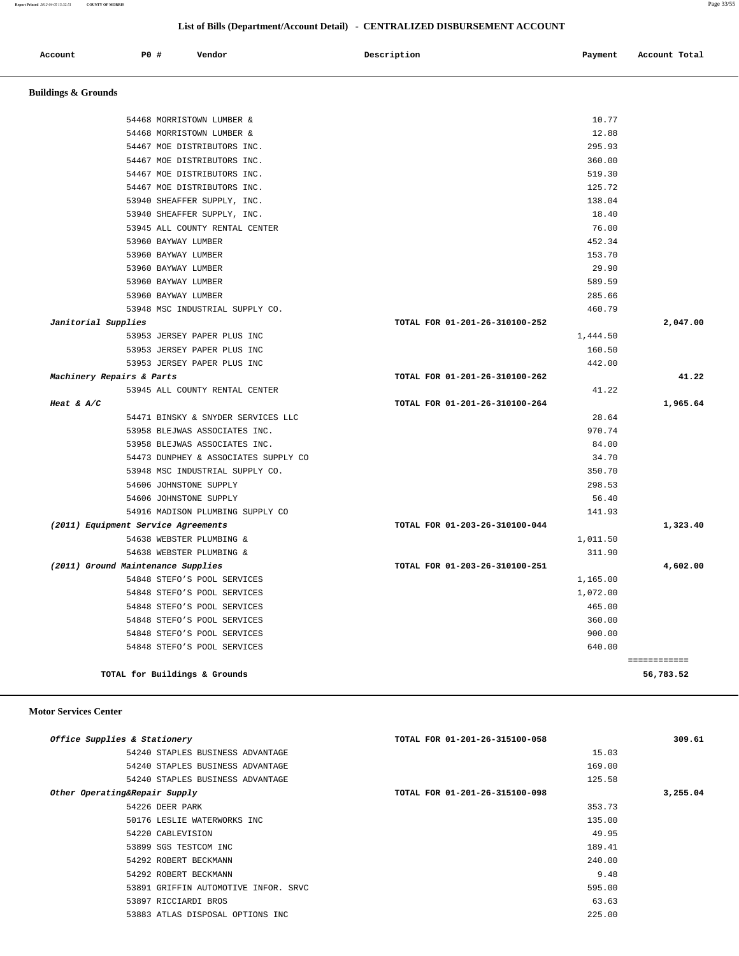**Report Printed** *2012-04-05 15:32:51* **COUNTY OF MORRIS** Page 33/55

## **List of Bills (Department/Account Detail) - CENTRALIZED DISBURSEMENT ACCOUNT**

| Account<br>. | P0 # | Vendor<br>. | Description | Payment | Account Total<br>. |
|--------------|------|-------------|-------------|---------|--------------------|
|              |      |             |             |         |                    |

 **Buildings & Grounds** 

| 54468 MORRISTOWN LUMBER &            | 10.77                          |              |
|--------------------------------------|--------------------------------|--------------|
| 54468 MORRISTOWN LUMBER &            | 12.88                          |              |
| 54467 MOE DISTRIBUTORS INC.          | 295.93                         |              |
| 54467 MOE DISTRIBUTORS INC.          | 360.00                         |              |
| 54467 MOE DISTRIBUTORS INC.          | 519.30                         |              |
| 54467 MOE DISTRIBUTORS INC.          | 125.72                         |              |
|                                      |                                |              |
| 53940 SHEAFFER SUPPLY, INC.          | 138.04                         |              |
| 53940 SHEAFFER SUPPLY, INC.          | 18.40                          |              |
| 53945 ALL COUNTY RENTAL CENTER       | 76.00                          |              |
| 53960 BAYWAY LUMBER                  | 452.34                         |              |
| 53960 BAYWAY LUMBER                  | 153.70                         |              |
| 53960 BAYWAY LUMBER                  | 29.90                          |              |
| 53960 BAYWAY LUMBER                  | 589.59                         |              |
| 53960 BAYWAY LUMBER                  | 285.66                         |              |
| 53948 MSC INDUSTRIAL SUPPLY CO.      | 460.79                         |              |
| Janitorial Supplies                  | TOTAL FOR 01-201-26-310100-252 | 2,047.00     |
| 53953 JERSEY PAPER PLUS INC          | 1,444.50                       |              |
| 53953 JERSEY PAPER PLUS INC          | 160.50                         |              |
| 53953 JERSEY PAPER PLUS INC          | 442.00                         |              |
| Machinery Repairs & Parts            | TOTAL FOR 01-201-26-310100-262 | 41.22        |
| 53945 ALL COUNTY RENTAL CENTER       | 41.22                          |              |
| Heat & $A/C$                         | TOTAL FOR 01-201-26-310100-264 | 1,965.64     |
| 54471 BINSKY & SNYDER SERVICES LLC   | 28.64                          |              |
| 53958 BLEJWAS ASSOCIATES INC.        | 970.74                         |              |
| 53958 BLEJWAS ASSOCIATES INC.        | 84.00                          |              |
| 54473 DUNPHEY & ASSOCIATES SUPPLY CO | 34.70                          |              |
| 53948 MSC INDUSTRIAL SUPPLY CO.      | 350.70                         |              |
| 54606 JOHNSTONE SUPPLY               | 298.53                         |              |
| 54606 JOHNSTONE SUPPLY               | 56.40                          |              |
| 54916 MADISON PLUMBING SUPPLY CO     | 141.93                         |              |
| (2011) Equipment Service Agreements  | TOTAL FOR 01-203-26-310100-044 | 1,323.40     |
| 54638 WEBSTER PLUMBING &             | 1,011.50                       |              |
| 54638 WEBSTER PLUMBING &             | 311.90                         |              |
| (2011) Ground Maintenance Supplies   | TOTAL FOR 01-203-26-310100-251 | 4,602.00     |
| 54848 STEFO'S POOL SERVICES          | 1,165.00                       |              |
| 54848 STEFO'S POOL SERVICES          | 1,072.00                       |              |
| 54848 STEFO'S POOL SERVICES          | 465.00                         |              |
| 54848 STEFO'S POOL SERVICES          | 360.00                         |              |
| 54848 STEFO'S POOL SERVICES          | 900.00                         |              |
| 54848 STEFO'S POOL SERVICES          | 640.00                         |              |
|                                      |                                | ============ |
| TOTAL for Buildings & Grounds        |                                | 56,783.52    |
|                                      |                                |              |

## **Motor Services Center**

| Office Supplies & Stationery         | TOTAL FOR 01-201-26-315100-058 | 309.61   |
|--------------------------------------|--------------------------------|----------|
| 54240 STAPLES BUSINESS ADVANTAGE     | 15.03                          |          |
| 54240 STAPLES BUSINESS ADVANTAGE     | 169.00                         |          |
| 54240 STAPLES BUSINESS ADVANTAGE     | 125.58                         |          |
| Other Operating&Repair Supply        | TOTAL FOR 01-201-26-315100-098 | 3,255.04 |
| 54226 DEER PARK                      | 353.73                         |          |
| 50176 LESLIE WATERWORKS INC          | 135.00                         |          |
| 54220 CABLEVISION                    | 49.95                          |          |
| 53899 SGS TESTCOM INC                | 189.41                         |          |
| 54292 ROBERT BECKMANN                | 240.00                         |          |
| 54292 ROBERT BECKMANN                | 9.48                           |          |
| 53891 GRIFFIN AUTOMOTIVE INFOR. SRVC | 595.00                         |          |
| 53897 RICCIARDI BROS                 | 63.63                          |          |
| 53883 ATLAS DISPOSAL OPTIONS INC     | 225.00                         |          |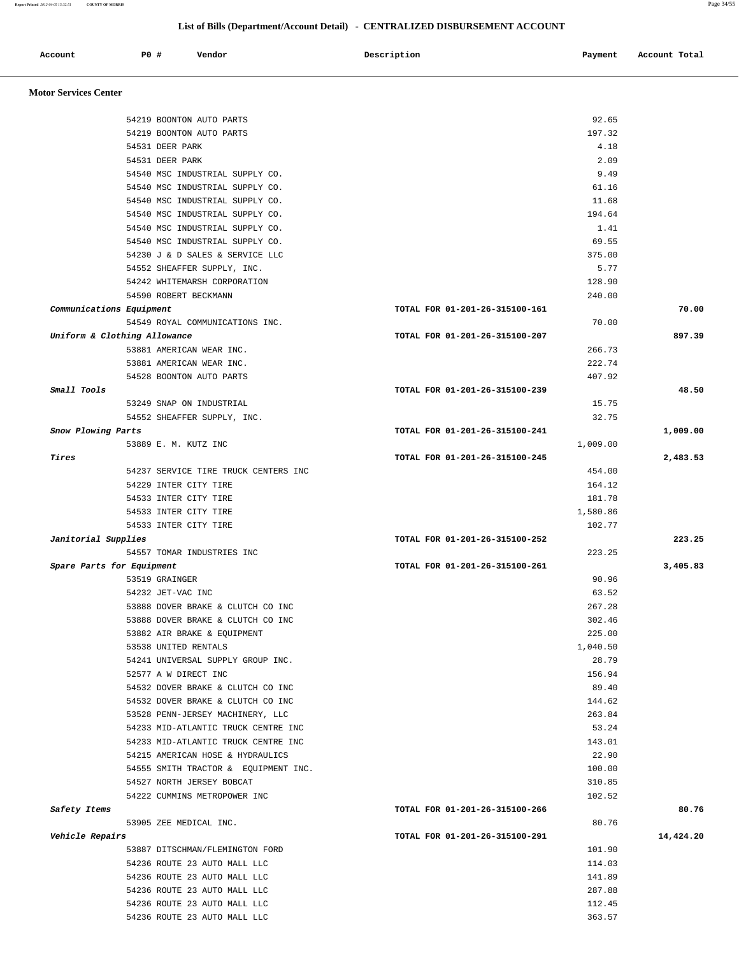| Account                      | P0 # | Vendor                                                            | Description                    | Payment            | Account Total |
|------------------------------|------|-------------------------------------------------------------------|--------------------------------|--------------------|---------------|
| <b>Motor Services Center</b> |      |                                                                   |                                |                    |               |
|                              |      | 54219 BOONTON AUTO PARTS                                          |                                | 92.65              |               |
|                              |      | 54219 BOONTON AUTO PARTS                                          |                                | 197.32             |               |
|                              |      | 54531 DEER PARK                                                   |                                | 4.18               |               |
|                              |      | 54531 DEER PARK                                                   |                                | 2.09               |               |
|                              |      | 54540 MSC INDUSTRIAL SUPPLY CO.                                   |                                | 9.49               |               |
|                              |      | 54540 MSC INDUSTRIAL SUPPLY CO.                                   |                                | 61.16              |               |
|                              |      | 54540 MSC INDUSTRIAL SUPPLY CO.                                   |                                | 11.68              |               |
|                              |      | 54540 MSC INDUSTRIAL SUPPLY CO.                                   |                                | 194.64             |               |
|                              |      | 54540 MSC INDUSTRIAL SUPPLY CO.                                   |                                | 1.41               |               |
|                              |      | 54540 MSC INDUSTRIAL SUPPLY CO.                                   |                                | 69.55              |               |
|                              |      | 54230 J & D SALES & SERVICE LLC                                   |                                | 375.00             |               |
|                              |      | 54552 SHEAFFER SUPPLY, INC.                                       |                                | 5.77               |               |
|                              |      | 54242 WHITEMARSH CORPORATION                                      |                                | 128.90             |               |
|                              |      | 54590 ROBERT BECKMANN                                             |                                | 240.00             |               |
| Communications Equipment     |      |                                                                   | TOTAL FOR 01-201-26-315100-161 |                    | 70.00         |
| Uniform & Clothing Allowance |      | 54549 ROYAL COMMUNICATIONS INC.                                   | TOTAL FOR 01-201-26-315100-207 | 70.00              | 897.39        |
|                              |      | 53881 AMERICAN WEAR INC.                                          |                                | 266.73             |               |
|                              |      | 53881 AMERICAN WEAR INC.                                          |                                | 222.74             |               |
|                              |      | 54528 BOONTON AUTO PARTS                                          |                                | 407.92             |               |
| <i>Small Tools</i>           |      |                                                                   | TOTAL FOR 01-201-26-315100-239 |                    | 48.50         |
|                              |      | 53249 SNAP ON INDUSTRIAL                                          |                                | 15.75              |               |
|                              |      | 54552 SHEAFFER SUPPLY, INC.                                       |                                | 32.75              |               |
| Snow Plowing Parts           |      |                                                                   | TOTAL FOR 01-201-26-315100-241 |                    | 1,009.00      |
|                              |      | 53889 E. M. KUTZ INC                                              |                                | 1,009.00           |               |
| Tires                        |      |                                                                   | TOTAL FOR 01-201-26-315100-245 |                    | 2,483.53      |
|                              |      | 54237 SERVICE TIRE TRUCK CENTERS INC                              |                                | 454.00             |               |
|                              |      | 54229 INTER CITY TIRE                                             |                                | 164.12             |               |
|                              |      | 54533 INTER CITY TIRE                                             |                                | 181.78             |               |
|                              |      | 54533 INTER CITY TIRE                                             |                                | 1,580.86<br>102.77 |               |
| Janitorial Supplies          |      | 54533 INTER CITY TIRE                                             | TOTAL FOR 01-201-26-315100-252 |                    | 223.25        |
|                              |      | 54557 TOMAR INDUSTRIES INC                                        |                                | 223.25             |               |
| Spare Parts for Equipment    |      |                                                                   | TOTAL FOR 01-201-26-315100-261 |                    | 3,405.83      |
|                              |      | 53519 GRAINGER                                                    |                                | 90.96              |               |
|                              |      | 54232 JET-VAC INC                                                 |                                | 63.52              |               |
|                              |      | 53888 DOVER BRAKE & CLUTCH CO INC                                 |                                | 267.28             |               |
|                              |      | 53888 DOVER BRAKE & CLUTCH CO INC                                 |                                | 302.46             |               |
|                              |      | 53882 AIR BRAKE & EQUIPMENT                                       |                                | 225.00             |               |
|                              |      | 53538 UNITED RENTALS                                              |                                | 1,040.50           |               |
|                              |      | 54241 UNIVERSAL SUPPLY GROUP INC.                                 |                                | 28.79              |               |
|                              |      | 52577 A W DIRECT INC                                              |                                | 156.94             |               |
|                              |      | 54532 DOVER BRAKE & CLUTCH CO INC                                 |                                | 89.40              |               |
|                              |      | 54532 DOVER BRAKE & CLUTCH CO INC                                 |                                | 144.62             |               |
|                              |      | 53528 PENN-JERSEY MACHINERY, LLC                                  |                                | 263.84             |               |
|                              |      | 54233 MID-ATLANTIC TRUCK CENTRE INC                               |                                | 53.24              |               |
|                              |      | 54233 MID-ATLANTIC TRUCK CENTRE INC                               |                                | 143.01             |               |
|                              |      | 54215 AMERICAN HOSE & HYDRAULICS                                  |                                | 22.90<br>100.00    |               |
|                              |      | 54555 SMITH TRACTOR & EQUIPMENT INC.<br>54527 NORTH JERSEY BOBCAT |                                | 310.85             |               |
|                              |      | 54222 CUMMINS METROPOWER INC                                      |                                | 102.52             |               |
| Safety Items                 |      |                                                                   | TOTAL FOR 01-201-26-315100-266 |                    | 80.76         |
|                              |      | 53905 ZEE MEDICAL INC.                                            |                                | 80.76              |               |
| Vehicle Repairs              |      |                                                                   | TOTAL FOR 01-201-26-315100-291 |                    | 14,424.20     |
|                              |      | 53887 DITSCHMAN/FLEMINGTON FORD                                   |                                | 101.90             |               |
|                              |      | 54236 ROUTE 23 AUTO MALL LLC                                      |                                | 114.03             |               |
|                              |      | 54236 ROUTE 23 AUTO MALL LLC                                      |                                | 141.89             |               |
|                              |      | 54236 ROUTE 23 AUTO MALL LLC                                      |                                | 287.88             |               |

 54236 ROUTE 23 AUTO MALL LLC 112.45 54236 ROUTE 23 AUTO MALL LLC 363.57

**Report Printed** *2012-04-05 15:32:51* **COUNTY OF MORRIS** Page 34/55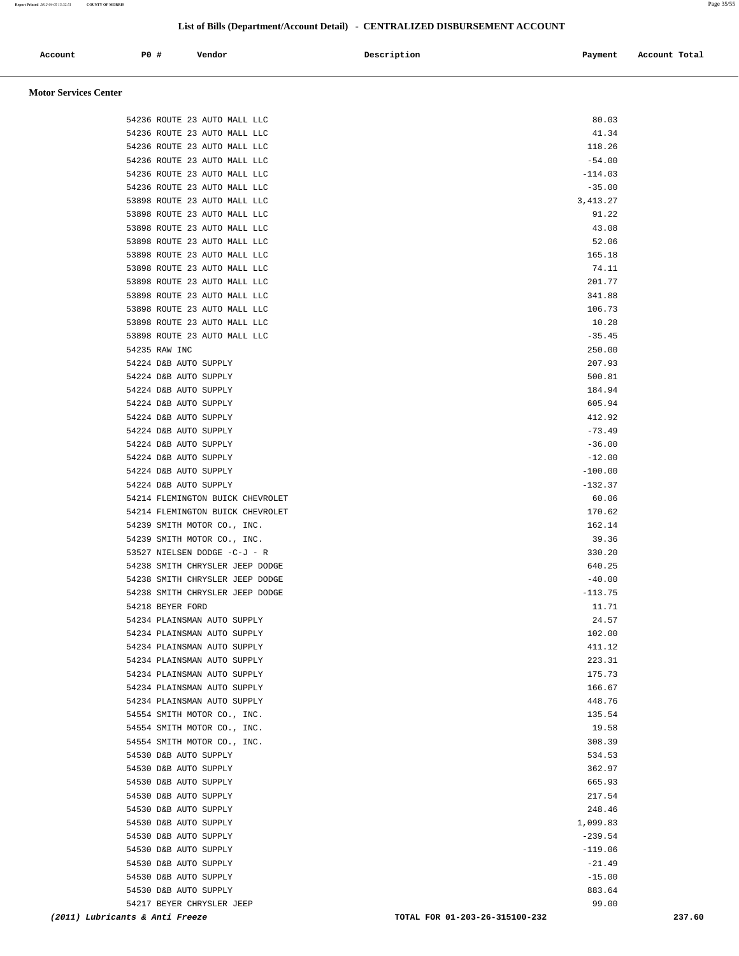| Account | P0 # | Vendor | Description | Payment | Account Total |
|---------|------|--------|-------------|---------|---------------|
|         |      |        |             |         |               |

#### **Motor Services Center**

| 54530 D&B AUTO SUPPLY<br>54217 BEYER CHRYSLER JEEP                 | 99.00              |  |
|--------------------------------------------------------------------|--------------------|--|
| 54530 D&B AUTO SUPPLY                                              | $-15.00$<br>883.64 |  |
| 54530 D&B AUTO SUPPLY                                              | $-21.49$           |  |
| 54530 D&B AUTO SUPPLY                                              | $-119.06$          |  |
| 54530 D&B AUTO SUPPLY                                              | $-239.54$          |  |
| 54530 D&B AUTO SUPPLY                                              | 1,099.83           |  |
| 54530 D&B AUTO SUPPLY                                              | 248.46             |  |
| 54530 D&B AUTO SUPPLY                                              | 217.54             |  |
| 54530 D&B AUTO SUPPLY                                              | 665.93             |  |
| 54530 D&B AUTO SUPPLY                                              | 362.97             |  |
| 54530 D&B AUTO SUPPLY                                              | 534.53             |  |
| 54554 SMITH MOTOR CO., INC.                                        | 308.39             |  |
| 54554 SMITH MOTOR CO., INC.                                        | 19.58              |  |
| 54554 SMITH MOTOR CO., INC.                                        | 135.54             |  |
| 54234 PLAINSMAN AUTO SUPPLY                                        | 448.76             |  |
| 54234 PLAINSMAN AUTO SUPPLY                                        | 166.67             |  |
| 54234 PLAINSMAN AUTO SUPPLY                                        | 175.73             |  |
| 54234 PLAINSMAN AUTO SUPPLY                                        | 223.31             |  |
| 54234 PLAINSMAN AUTO SUPPLY                                        | 411.12             |  |
| 54234 PLAINSMAN AUTO SUPPLY                                        | 102.00             |  |
| 54234 PLAINSMAN AUTO SUPPLY                                        | 24.57              |  |
| 54218 BEYER FORD                                                   | 11.71              |  |
| 54238 SMITH CHRYSLER JEEP DODGE                                    | $-113.75$          |  |
| 54238 SMITH CHRYSLER JEEP DODGE<br>54238 SMITH CHRYSLER JEEP DODGE | 640.25<br>$-40.00$ |  |
| 53527 NIELSEN DODGE -C-J - R                                       | 330.20             |  |
| 54239 SMITH MOTOR CO., INC.                                        | 39.36              |  |
| 54239 SMITH MOTOR CO., INC.                                        | 162.14             |  |
| 54214 FLEMINGTON BUICK CHEVROLET                                   | 170.62             |  |
| 54214 FLEMINGTON BUICK CHEVROLET                                   | 60.06              |  |
| 54224 D&B AUTO SUPPLY                                              | $-132.37$          |  |
| 54224 D&B AUTO SUPPLY                                              | $-100.00$          |  |
| 54224 D&B AUTO SUPPLY                                              | $-12.00$           |  |
| 54224 D&B AUTO SUPPLY                                              | $-36.00$           |  |
| 54224 D&B AUTO SUPPLY                                              | $-73.49$           |  |
| 54224 D&B AUTO SUPPLY                                              | 412.92             |  |
| 54224 D&B AUTO SUPPLY                                              | 605.94             |  |
| 54224 D&B AUTO SUPPLY                                              | 184.94             |  |
| 54224 D&B AUTO SUPPLY                                              | 500.81             |  |
| 54224 D&B AUTO SUPPLY                                              | 207.93             |  |
| 54235 RAW INC                                                      | 250.00             |  |
| 53898 ROUTE 23 AUTO MALL LLC                                       | $-35.45$           |  |
| 53898 ROUTE 23 AUTO MALL LLC                                       | 10.28              |  |
| 53898 ROUTE 23 AUTO MALL LLC                                       | 106.73             |  |
| 53898 ROUTE 23 AUTO MALL LLC                                       | 341.88             |  |
| 53898 ROUTE 23 AUTO MALL LLC                                       | 201.77             |  |
| 53898 ROUTE 23 AUTO MALL LLC                                       | 165.18<br>74.11    |  |
| 53898 ROUTE 23 AUTO MALL LLC<br>53898 ROUTE 23 AUTO MALL LLC       | 52.06              |  |
| 53898 ROUTE 23 AUTO MALL LLC                                       | 43.08              |  |
| 53898 ROUTE 23 AUTO MALL LLC                                       | 91.22              |  |
| 53898 ROUTE 23 AUTO MALL LLC                                       | 3, 413.27          |  |
| 54236 ROUTE 23 AUTO MALL LLC                                       | $-35.00$           |  |
| 54236 ROUTE 23 AUTO MALL LLC                                       | $-114.03$          |  |
| 54236 ROUTE 23 AUTO MALL LLC                                       | $-54.00$           |  |
| 54236 ROUTE 23 AUTO MALL LLC                                       | 118.26             |  |
| 54236 ROUTE 23 AUTO MALL LLC                                       | 41.34              |  |
| 54236 ROUTE 23 AUTO MALL LLC                                       | 80.03              |  |
|                                                                    |                    |  |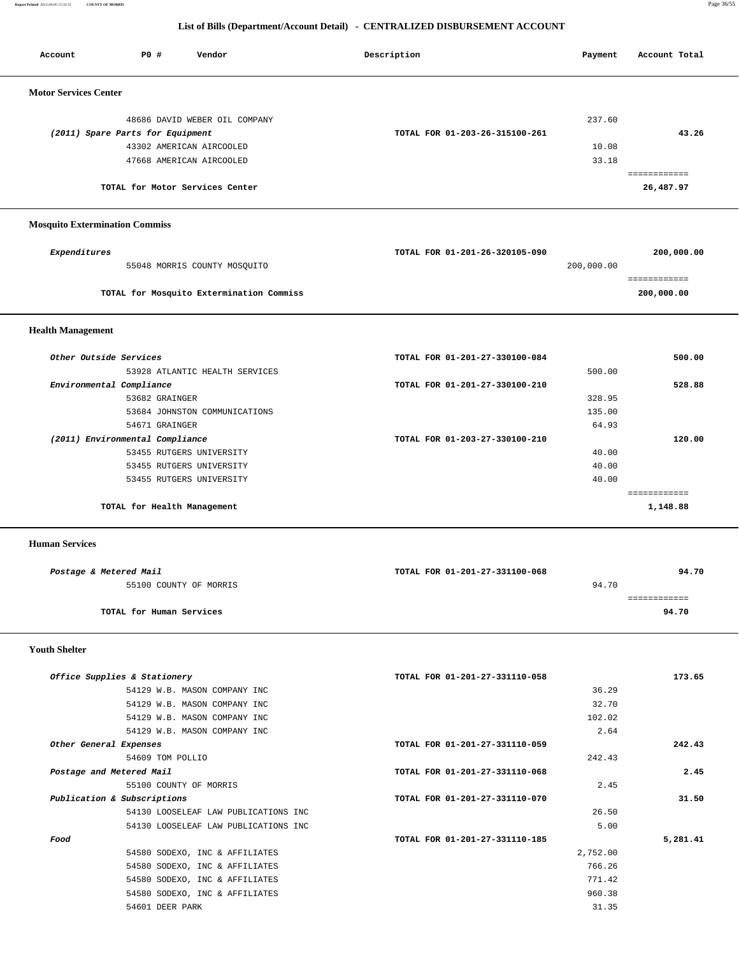**Report Printed** *2012-04-05 15:32:51* **COUNTY OF MORRIS** Page 36/55

# **List of Bills (Department/Account Detail) - CENTRALIZED DISBURSEMENT ACCOUNT**

| <b>PO #</b><br>Vendor<br>Account                  | Description                    | Payment         | Account Total            |
|---------------------------------------------------|--------------------------------|-----------------|--------------------------|
| <b>Motor Services Center</b>                      |                                |                 |                          |
| 48686 DAVID WEBER OIL COMPANY                     |                                | 237.60          |                          |
| (2011) Spare Parts for Equipment                  | TOTAL FOR 01-203-26-315100-261 |                 | 43.26                    |
| 43302 AMERICAN AIRCOOLED                          |                                | 10.08           |                          |
| 47668 AMERICAN AIRCOOLED                          |                                | 33.18           |                          |
|                                                   |                                |                 | eeeeeeeeee               |
| TOTAL for Motor Services Center                   |                                |                 | 26,487.97                |
| <b>Mosquito Extermination Commiss</b>             |                                |                 |                          |
|                                                   |                                |                 |                          |
| Expenditures                                      | TOTAL FOR 01-201-26-320105-090 |                 | 200,000.00               |
| 55048 MORRIS COUNTY MOSQUITO                      |                                | 200,000.00      |                          |
|                                                   |                                |                 | ============             |
| TOTAL for Mosquito Extermination Commiss          |                                |                 | 200,000.00               |
| <b>Health Management</b>                          |                                |                 |                          |
| Other Outside Services                            | TOTAL FOR 01-201-27-330100-084 |                 | 500.00                   |
| 53928 ATLANTIC HEALTH SERVICES                    |                                | 500.00          |                          |
| Environmental Compliance                          | TOTAL FOR 01-201-27-330100-210 |                 | 528.88                   |
| 53682 GRAINGER                                    |                                | 328.95          |                          |
| 53684 JOHNSTON COMMUNICATIONS                     |                                | 135.00          |                          |
| 54671 GRAINGER                                    |                                | 64.93           |                          |
| (2011) Environmental Compliance                   | TOTAL FOR 01-203-27-330100-210 |                 | 120.00                   |
| 53455 RUTGERS UNIVERSITY                          |                                | 40.00           |                          |
| 53455 RUTGERS UNIVERSITY                          |                                | 40.00           |                          |
| 53455 RUTGERS UNIVERSITY                          |                                | 40.00           |                          |
| TOTAL for Health Management                       |                                |                 | ============<br>1,148.88 |
| <b>Human Services</b>                             |                                |                 |                          |
| Postage & Metered Mail                            | TOTAL FOR 01-201-27-331100-068 |                 | 94.70                    |
| 55100 COUNTY OF MORRIS                            |                                | 94.70           |                          |
|                                                   |                                |                 | ============             |
| TOTAL for Human Services                          |                                |                 | 94.70                    |
| <b>Youth Shelter</b>                              |                                |                 |                          |
|                                                   |                                |                 |                          |
| Office Supplies & Stationery                      | TOTAL FOR 01-201-27-331110-058 |                 | 173.65                   |
| 54129 W.B. MASON COMPANY INC                      |                                | 36.29           |                          |
| 54129 W.B. MASON COMPANY INC                      |                                | 32.70           |                          |
| 54129 W.B. MASON COMPANY INC                      |                                | 102.02          |                          |
| 54129 W.B. MASON COMPANY INC                      |                                | 2.64            |                          |
| Other General Expenses                            | TOTAL FOR 01-201-27-331110-059 |                 | 242.43                   |
| 54609 TOM POLLIO                                  |                                | 242.43          |                          |
| Postage and Metered Mail                          | TOTAL FOR 01-201-27-331110-068 |                 | 2.45                     |
| 55100 COUNTY OF MORRIS                            |                                | 2.45            |                          |
| Publication & Subscriptions                       | TOTAL FOR 01-201-27-331110-070 |                 | 31.50                    |
| 54130 LOOSELEAF LAW PUBLICATIONS INC              |                                | 26.50           |                          |
| 54130 LOOSELEAF LAW PUBLICATIONS INC              |                                | 5.00            |                          |
| Food                                              | TOTAL FOR 01-201-27-331110-185 |                 | 5,281.41                 |
| 54580 SODEXO, INC & AFFILIATES                    |                                | 2,752.00        |                          |
| 54580 SODEXO, INC & AFFILIATES                    |                                | 766.26          |                          |
| 54580 SODEXO, INC & AFFILIATES                    |                                | 771.42          |                          |
| 54580 SODEXO, INC & AFFILIATES<br>54601 DEER PARK |                                | 960.38<br>31.35 |                          |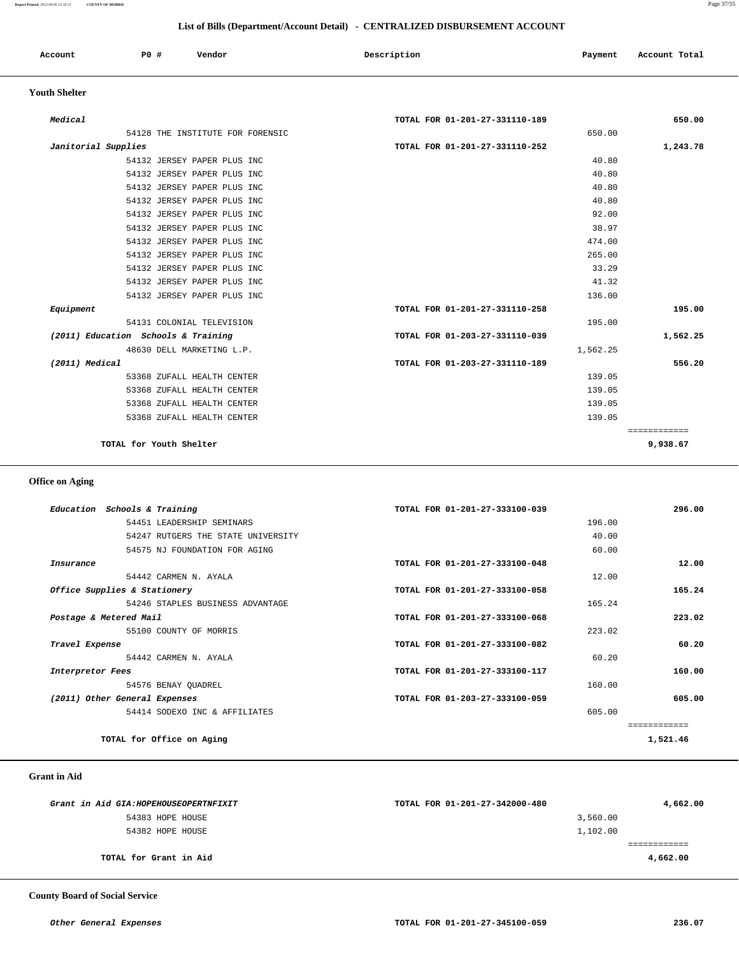| Account<br>. | PO# | Vendor | Description | Payment | Account Total |
|--------------|-----|--------|-------------|---------|---------------|
|              |     |        |             |         |               |

#### **Youth Shelter**

| Equipment<br>(2011) Education Schools & Training<br>(2011) Medical | 54132 JERSEY PAPER PLUS INC<br>54132 JERSEY PAPER PLUS INC<br>54132 JERSEY PAPER PLUS INC<br>54131 COLONIAL TELEVISION<br>48630 DELL MARKETING L.P.<br>53368 ZUFALL HEALTH CENTER<br>53368 ZUFALL HEALTH CENTER<br>53368 ZUFALL HEALTH CENTER<br>53368 ZUFALL HEALTH CENTER | TOTAL FOR 01-201-27-331110-258<br>TOTAL FOR 01-203-27-331110-039<br>TOTAL FOR 01-203-27-331110-189 | 33.29<br>41.32<br>136.00<br>195.00<br>1,562.25<br>139.05<br>139.05<br>139.05<br>139.05 | 195.00<br>1,562.25<br>556.20<br>============ |
|--------------------------------------------------------------------|-----------------------------------------------------------------------------------------------------------------------------------------------------------------------------------------------------------------------------------------------------------------------------|----------------------------------------------------------------------------------------------------|----------------------------------------------------------------------------------------|----------------------------------------------|
|                                                                    |                                                                                                                                                                                                                                                                             |                                                                                                    |                                                                                        |                                              |
|                                                                    |                                                                                                                                                                                                                                                                             |                                                                                                    |                                                                                        |                                              |
|                                                                    |                                                                                                                                                                                                                                                                             |                                                                                                    |                                                                                        |                                              |
|                                                                    |                                                                                                                                                                                                                                                                             |                                                                                                    |                                                                                        |                                              |
|                                                                    |                                                                                                                                                                                                                                                                             |                                                                                                    |                                                                                        |                                              |
|                                                                    |                                                                                                                                                                                                                                                                             |                                                                                                    |                                                                                        |                                              |
|                                                                    |                                                                                                                                                                                                                                                                             |                                                                                                    |                                                                                        |                                              |
|                                                                    |                                                                                                                                                                                                                                                                             |                                                                                                    |                                                                                        |                                              |
|                                                                    |                                                                                                                                                                                                                                                                             |                                                                                                    |                                                                                        |                                              |
|                                                                    |                                                                                                                                                                                                                                                                             |                                                                                                    |                                                                                        |                                              |
|                                                                    |                                                                                                                                                                                                                                                                             |                                                                                                    |                                                                                        |                                              |
|                                                                    |                                                                                                                                                                                                                                                                             |                                                                                                    |                                                                                        |                                              |
|                                                                    | 54132 JERSEY PAPER PLUS INC                                                                                                                                                                                                                                                 |                                                                                                    | 265.00                                                                                 |                                              |
|                                                                    | 54132 JERSEY PAPER PLUS INC                                                                                                                                                                                                                                                 |                                                                                                    | 474.00                                                                                 |                                              |
|                                                                    | 54132 JERSEY PAPER PLUS INC                                                                                                                                                                                                                                                 |                                                                                                    | 38.97                                                                                  |                                              |
|                                                                    | 54132 JERSEY PAPER PLUS INC                                                                                                                                                                                                                                                 |                                                                                                    | 92.00                                                                                  |                                              |
|                                                                    | 54132 JERSEY PAPER PLUS INC                                                                                                                                                                                                                                                 |                                                                                                    | 40.80                                                                                  |                                              |
|                                                                    | 54132 JERSEY PAPER PLUS INC                                                                                                                                                                                                                                                 |                                                                                                    | 40.80                                                                                  |                                              |
|                                                                    | 54132 JERSEY PAPER PLUS INC                                                                                                                                                                                                                                                 |                                                                                                    | 40.80                                                                                  |                                              |
|                                                                    | 54132 JERSEY PAPER PLUS INC                                                                                                                                                                                                                                                 |                                                                                                    | 40.80                                                                                  |                                              |
| Janitorial Supplies                                                |                                                                                                                                                                                                                                                                             | TOTAL FOR 01-201-27-331110-252                                                                     |                                                                                        | 1,243.78                                     |
|                                                                    | 54128 THE INSTITUTE FOR FORENSIC                                                                                                                                                                                                                                            |                                                                                                    | 650.00                                                                                 |                                              |

# **Office on Aging**

| Education Schools & Training       | TOTAL FOR 01-201-27-333100-039 | 296.00       |
|------------------------------------|--------------------------------|--------------|
| 54451 LEADERSHIP SEMINARS          | 196.00                         |              |
| 54247 RUTGERS THE STATE UNIVERSITY |                                | 40.00        |
| 54575 NJ FOUNDATION FOR AGING      |                                | 60.00        |
| Insurance                          | TOTAL FOR 01-201-27-333100-048 | 12.00        |
| 54442 CARMEN N. AYALA              |                                | 12.00        |
| Office Supplies & Stationery       | TOTAL FOR 01-201-27-333100-058 | 165.24       |
| 54246 STAPLES BUSINESS ADVANTAGE   | 165.24                         |              |
| Postage & Metered Mail             | TOTAL FOR 01-201-27-333100-068 | 223.02       |
| 55100 COUNTY OF MORRIS             |                                | 223.02       |
| Travel Expense                     | TOTAL FOR 01-201-27-333100-082 | 60.20        |
| 54442 CARMEN N. AYALA              |                                | 60.20        |
| Interpretor Fees                   | TOTAL FOR 01-201-27-333100-117 | 160.00       |
| 54576 BENAY OUADREL                | 160.00                         |              |
| (2011) Other General Expenses      | TOTAL FOR 01-203-27-333100-059 | 605.00       |
| 54414 SODEXO INC & AFFILIATES      | 605.00                         |              |
|                                    |                                | ============ |
| TOTAL for Office on Aging          |                                | 1,521.46     |

## **Grant in Aid**

| Grant in Aid GIA: HOPEHOUSEOPERTNFIXIT | TOTAL FOR 01-201-27-342000-480 | 4,662.00 |
|----------------------------------------|--------------------------------|----------|
| 54383 HOPE HOUSE                       | 3,560.00                       |          |
| 54382 HOPE HOUSE                       | 1,102.00                       |          |
|                                        |                                |          |
| TOTAL for Grant in Aid                 |                                | 4,662.00 |

 **County Board of Social Service**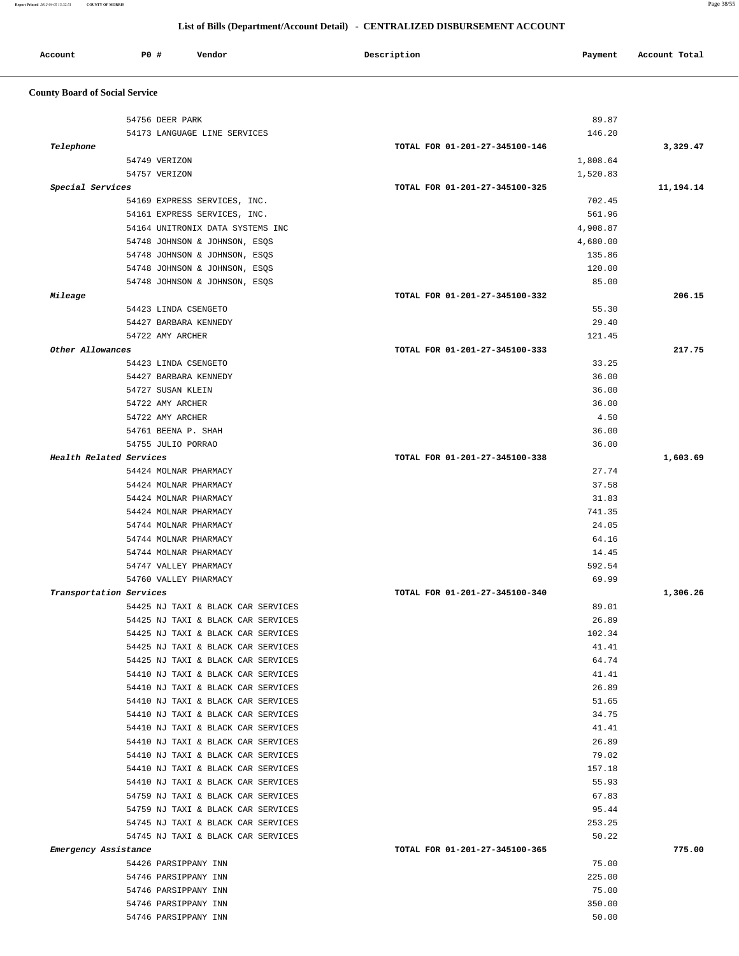| Account | <b>PO #</b> | Vendor | Description | Payment<br>$\sim$ $\sim$ | Account Total |
|---------|-------------|--------|-------------|--------------------------|---------------|
|         |             |        |             |                          |               |

# **County Board of Social Service**

|                         | 54756 DEER PARK                              | 89.87                          |           |
|-------------------------|----------------------------------------------|--------------------------------|-----------|
|                         | 54173 LANGUAGE LINE SERVICES                 | 146.20                         |           |
| Telephone               |                                              | TOTAL FOR 01-201-27-345100-146 | 3,329.47  |
|                         | 54749 VERIZON                                | 1,808.64                       |           |
|                         | 54757 VERIZON                                | 1,520.83                       |           |
| Special Services        |                                              | TOTAL FOR 01-201-27-345100-325 | 11,194.14 |
|                         | 54169 EXPRESS SERVICES, INC.                 | 702.45                         |           |
|                         | 54161 EXPRESS SERVICES, INC.                 | 561.96                         |           |
|                         | 54164 UNITRONIX DATA SYSTEMS INC             | 4,908.87                       |           |
|                         | 54748 JOHNSON & JOHNSON, ESQS                | 4,680.00                       |           |
|                         | 54748 JOHNSON & JOHNSON, ESQS                | 135.86                         |           |
|                         | 54748 JOHNSON & JOHNSON, ESQS                | 120.00                         |           |
|                         | 54748 JOHNSON & JOHNSON, ESQS                | 85.00                          |           |
| Mileage                 |                                              | TOTAL FOR 01-201-27-345100-332 | 206.15    |
|                         | 54423 LINDA CSENGETO                         | 55.30                          |           |
|                         | 54427 BARBARA KENNEDY                        | 29.40                          |           |
|                         | 54722 AMY ARCHER                             | 121.45                         |           |
| Other Allowances        |                                              | TOTAL FOR 01-201-27-345100-333 | 217.75    |
|                         | 54423 LINDA CSENGETO                         | 33.25                          |           |
|                         | 54427 BARBARA KENNEDY                        | 36.00                          |           |
|                         | 54727 SUSAN KLEIN                            | 36.00                          |           |
|                         | 54722 AMY ARCHER                             | 36.00                          |           |
|                         | 54722 AMY ARCHER                             | 4.50                           |           |
|                         | 54761 BEENA P. SHAH                          | 36.00                          |           |
|                         | 54755 JULIO PORRAO                           | 36.00                          |           |
| Health Related Services |                                              | TOTAL FOR 01-201-27-345100-338 | 1,603.69  |
|                         | 54424 MOLNAR PHARMACY                        | 27.74                          |           |
|                         | 54424 MOLNAR PHARMACY                        | 37.58                          |           |
|                         | 54424 MOLNAR PHARMACY                        | 31.83                          |           |
|                         | 54424 MOLNAR PHARMACY                        | 741.35                         |           |
|                         | 54744 MOLNAR PHARMACY                        | 24.05                          |           |
|                         | 54744 MOLNAR PHARMACY                        | 64.16                          |           |
|                         | 54744 MOLNAR PHARMACY                        | 14.45                          |           |
|                         | 54747 VALLEY PHARMACY                        | 592.54                         |           |
|                         | 54760 VALLEY PHARMACY                        | 69.99                          |           |
| Transportation Services |                                              | TOTAL FOR 01-201-27-345100-340 | 1,306.26  |
|                         | 54425 NJ TAXI & BLACK CAR SERVICES           | 89.01                          |           |
|                         | 54425 NJ TAXI & BLACK CAR SERVICES           | 26.89                          |           |
|                         | 54425 NJ TAXI & BLACK CAR SERVICES           | 102.34                         |           |
|                         | 54425 NJ TAXI & BLACK CAR SERVICES           | 41.41                          |           |
|                         | 54425 NJ TAXI & BLACK CAR SERVICES           | 64.74                          |           |
|                         | 54410 NJ TAXI & BLACK CAR SERVICES           | 41.41                          |           |
|                         | 54410 NJ TAXI & BLACK CAR SERVICES           | 26.89                          |           |
|                         | 54410 NJ TAXI & BLACK CAR SERVICES           | 51.65                          |           |
|                         |                                              |                                |           |
|                         | 54410 NJ TAXI & BLACK CAR SERVICES           | 34.75                          |           |
|                         | 54410 NJ TAXI & BLACK CAR SERVICES           | 41.41                          |           |
|                         | 54410 NJ TAXI & BLACK CAR SERVICES           | 26.89                          |           |
|                         | 54410 NJ TAXI & BLACK CAR SERVICES           | 79.02                          |           |
|                         | 54410 NJ TAXI & BLACK CAR SERVICES           | 157.18                         |           |
|                         | 54410 NJ TAXI & BLACK CAR SERVICES           | 55.93                          |           |
|                         | 54759 NJ TAXI & BLACK CAR SERVICES           | 67.83                          |           |
|                         | 54759 NJ TAXI & BLACK CAR SERVICES           | 95.44                          |           |
|                         | 54745 NJ TAXI & BLACK CAR SERVICES           | 253.25                         |           |
|                         | 54745 NJ TAXI & BLACK CAR SERVICES           | 50.22                          |           |
|                         |                                              | TOTAL FOR 01-201-27-345100-365 |           |
| Emergency Assistance    | 54426 PARSIPPANY INN                         |                                |           |
|                         |                                              | 75.00                          | 775.00    |
|                         | 54746 PARSIPPANY INN                         | 225.00                         |           |
|                         | 54746 PARSIPPANY INN<br>54746 PARSIPPANY INN | 75.00<br>350.00                |           |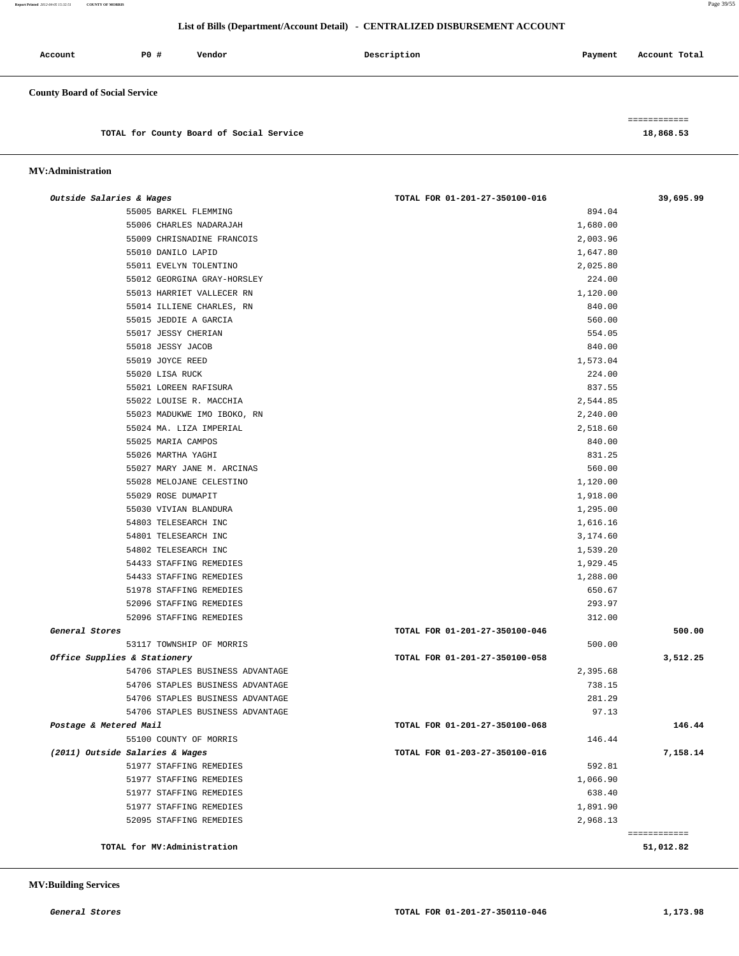**Report Printed** *2012-04-05 15:32:51* **COUNTY OF MORRIS** Page 39/55

## **List of Bills (Department/Account Detail) - CENTRALIZED DISBURSEMENT ACCOUNT**

| Account                               | P0 # | Vendor | Description | Payment | Account Total |
|---------------------------------------|------|--------|-------------|---------|---------------|
| <b>County Board of Social Service</b> |      |        |             |         |               |

============

**TOTAL for County Board of Social Service 18,868.53**

#### **MV:Administration**

| Outside Salaries & Wages         | TOTAL FOR 01-201-27-350100-016 | 39,695.99    |
|----------------------------------|--------------------------------|--------------|
| 55005 BARKEL FLEMMING            | 894.04                         |              |
| 55006 CHARLES NADARAJAH          | 1,680.00                       |              |
| 55009 CHRISNADINE FRANCOIS       | 2,003.96                       |              |
| 55010 DANILO LAPID               | 1,647.80                       |              |
| 55011 EVELYN TOLENTINO           | 2,025.80                       |              |
| 55012 GEORGINA GRAY-HORSLEY      | 224.00                         |              |
| 55013 HARRIET VALLECER RN        | 1,120.00                       |              |
| 55014 ILLIENE CHARLES, RN        | 840.00                         |              |
| 55015 JEDDIE A GARCIA            | 560.00                         |              |
| 55017 JESSY CHERIAN              | 554.05                         |              |
| 55018 JESSY JACOB                | 840.00                         |              |
| 55019 JOYCE REED                 | 1,573.04                       |              |
| 55020 LISA RUCK                  | 224.00                         |              |
| 55021 LOREEN RAFISURA            | 837.55                         |              |
| 55022 LOUISE R. MACCHIA          | 2,544.85                       |              |
| 55023 MADUKWE IMO IBOKO, RN      | 2,240.00                       |              |
| 55024 MA. LIZA IMPERIAL          | 2,518.60                       |              |
| 55025 MARIA CAMPOS               | 840.00                         |              |
| 55026 MARTHA YAGHI               | 831.25                         |              |
| 55027 MARY JANE M. ARCINAS       | 560.00                         |              |
| 55028 MELOJANE CELESTINO         | 1,120.00                       |              |
| 55029 ROSE DUMAPIT               | 1,918.00                       |              |
| 55030 VIVIAN BLANDURA            | 1,295.00                       |              |
| 54803 TELESEARCH INC             | 1,616.16                       |              |
| 54801 TELESEARCH INC             | 3,174.60                       |              |
| 54802 TELESEARCH INC             | 1,539.20                       |              |
| 54433 STAFFING REMEDIES          | 1,929.45                       |              |
| 54433 STAFFING REMEDIES          | 1,288.00                       |              |
| 51978 STAFFING REMEDIES          | 650.67                         |              |
| 52096 STAFFING REMEDIES          | 293.97                         |              |
| 52096 STAFFING REMEDIES          | 312.00                         |              |
| General Stores                   | TOTAL FOR 01-201-27-350100-046 | 500.00       |
| 53117 TOWNSHIP OF MORRIS         | 500.00                         |              |
| Office Supplies & Stationery     | TOTAL FOR 01-201-27-350100-058 | 3,512.25     |
| 54706 STAPLES BUSINESS ADVANTAGE | 2,395.68                       |              |
| 54706 STAPLES BUSINESS ADVANTAGE | 738.15                         |              |
| 54706 STAPLES BUSINESS ADVANTAGE | 281.29                         |              |
| 54706 STAPLES BUSINESS ADVANTAGE | 97.13                          |              |
| Postage & Metered Mail           | TOTAL FOR 01-201-27-350100-068 | 146.44       |
| 55100 COUNTY OF MORRIS           | 146.44                         |              |
| (2011) Outside Salaries & Wages  | TOTAL FOR 01-203-27-350100-016 | 7,158.14     |
| 51977 STAFFING REMEDIES          | 592.81                         |              |
| 51977 STAFFING REMEDIES          | 1,066.90                       |              |
| 51977 STAFFING REMEDIES          | 638.40                         |              |
| 51977 STAFFING REMEDIES          | 1,891.90                       |              |
| 52095 STAFFING REMEDIES          | 2,968.13                       |              |
|                                  |                                | ============ |
| TOTAL for MV:Administration      |                                | 51,012.82    |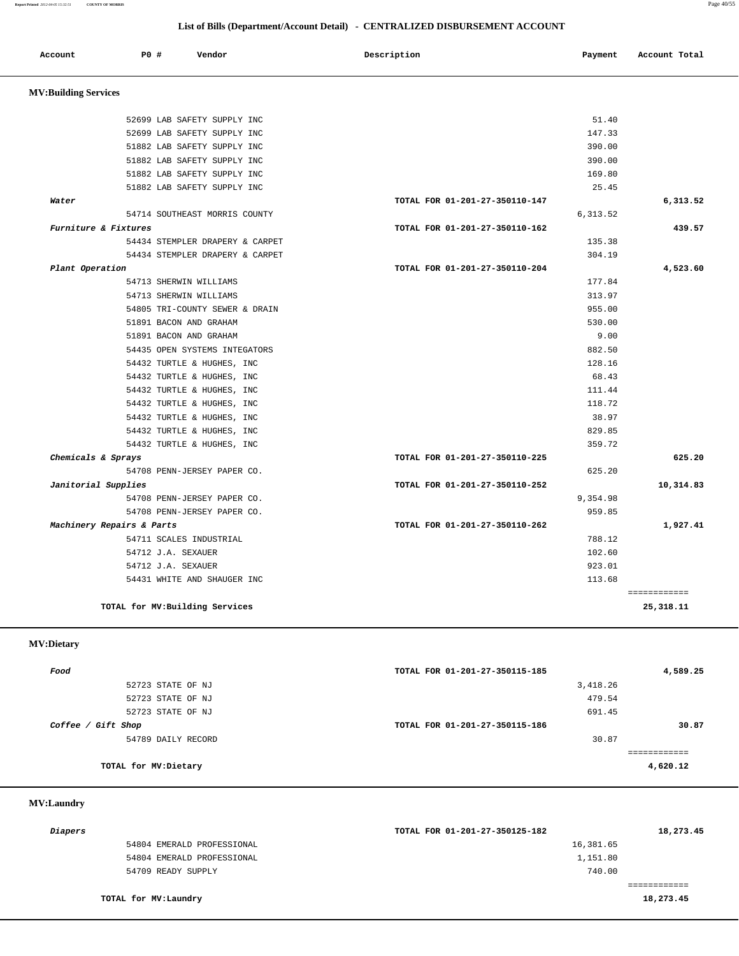**Report Printed** *2012-04-05 15:32:51* **COUNTY OF MORRIS** Page 40/55

#### **List of Bills (Department/Account Detail) - CENTRALIZED DISBURSEMENT ACCOUNT**

| Account                     | P0 #<br>Vendor                  | Description<br>Payment         | Account Total |
|-----------------------------|---------------------------------|--------------------------------|---------------|
|                             |                                 |                                |               |
| <b>MV:Building Services</b> |                                 |                                |               |
|                             | 52699 LAB SAFETY SUPPLY INC     | 51.40                          |               |
|                             | 52699 LAB SAFETY SUPPLY INC     | 147.33                         |               |
|                             | 51882 LAB SAFETY SUPPLY INC     | 390.00                         |               |
|                             | 51882 LAB SAFETY SUPPLY INC     | 390.00                         |               |
|                             | 51882 LAB SAFETY SUPPLY INC     | 169.80                         |               |
|                             | 51882 LAB SAFETY SUPPLY INC     | 25.45                          |               |
| Water                       |                                 | TOTAL FOR 01-201-27-350110-147 | 6,313.52      |
|                             | 54714 SOUTHEAST MORRIS COUNTY   | 6,313.52                       |               |
| Furniture & Fixtures        |                                 | TOTAL FOR 01-201-27-350110-162 | 439.57        |
|                             | 54434 STEMPLER DRAPERY & CARPET | 135.38                         |               |
|                             | 54434 STEMPLER DRAPERY & CARPET | 304.19                         |               |
| Plant Operation             |                                 | TOTAL FOR 01-201-27-350110-204 | 4,523.60      |
|                             | 54713 SHERWIN WILLIAMS          | 177.84                         |               |
|                             | 54713 SHERWIN WILLIAMS          | 313.97                         |               |
|                             | 54805 TRI-COUNTY SEWER & DRAIN  | 955.00                         |               |
|                             | 51891 BACON AND GRAHAM          | 530.00                         |               |
|                             | 51891 BACON AND GRAHAM          | 9.00                           |               |
|                             | 54435 OPEN SYSTEMS INTEGATORS   | 882.50                         |               |
|                             | 54432 TURTLE & HUGHES, INC      | 128.16                         |               |
|                             | 54432 TURTLE & HUGHES, INC      | 68.43                          |               |
|                             | 54432 TURTLE & HUGHES, INC      | 111.44                         |               |
|                             | 54432 TURTLE & HUGHES, INC      | 118.72                         |               |
|                             | 54432 TURTLE & HUGHES, INC      | 38.97                          |               |
|                             | 54432 TURTLE & HUGHES, INC      | 829.85                         |               |
|                             | 54432 TURTLE & HUGHES, INC      | 359.72                         |               |
| Chemicals & Sprays          |                                 | TOTAL FOR 01-201-27-350110-225 | 625.20        |
|                             | 54708 PENN-JERSEY PAPER CO.     | 625.20                         |               |
| Janitorial Supplies         |                                 | TOTAL FOR 01-201-27-350110-252 | 10,314.83     |
|                             | 54708 PENN-JERSEY PAPER CO.     | 9,354.98                       |               |
|                             | 54708 PENN-JERSEY PAPER CO.     | 959.85                         |               |
|                             | Machinery Repairs & Parts       | TOTAL FOR 01-201-27-350110-262 | 1,927.41      |
|                             | 54711 SCALES INDUSTRIAL         | 788.12                         |               |
|                             | 54712 J.A. SEXAUER              | 102.60                         |               |
|                             | 54712 J.A. SEXAUER              | 923.01                         |               |
|                             | 54431 WHITE AND SHAUGER INC     | 113.68                         |               |

**TOTAL for MV:Building Services 25,318.11**

 **MV:Dietary** 

| Food                  | TOTAL FOR 01-201-27-350115-185 | 4,589.25 |
|-----------------------|--------------------------------|----------|
| 52723 STATE OF NJ     | 3,418.26                       |          |
| 52723 STATE OF NJ     | 479.54                         |          |
| 52723 STATE OF NJ     | 691.45                         |          |
| Coffee / Gift Shop    | TOTAL FOR 01-201-27-350115-186 | 30.87    |
| 54789 DAILY RECORD    | 30.87                          |          |
|                       |                                |          |
| TOTAL for MV: Dietary |                                | 4,620.12 |
|                       |                                |          |

## **MV:Laundry**

| 16,381.65<br>54804 EMERALD PROFESSIONAL |  |
|-----------------------------------------|--|
| 1,151.80<br>54804 EMERALD PROFESSIONAL  |  |
| 740.00<br>54709 READY SUPPLY            |  |
|                                         |  |
| 18,273.45<br>TOTAL for MV:Laundry       |  |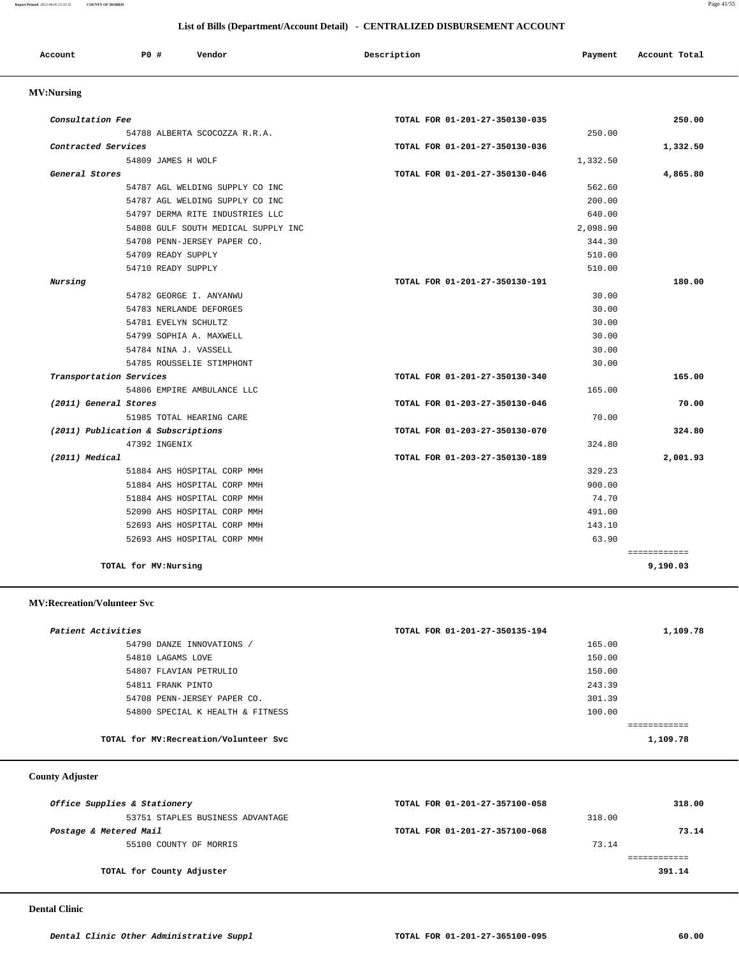#### **Report Printed** *2012-04-05 15:32:51* **COUNTY OF MORRIS** Page 41/55

## **List of Bills (Department/Account Detail) - CENTRALIZED DISBURSEMENT ACCOUNT**

| Account | P <sub>0</sub> | Vendor | Description | Payment | Account Total |
|---------|----------------|--------|-------------|---------|---------------|
|         |                |        |             |         |               |

# **MV:Nursing**

| Consultation Fee                   |                                     | TOTAL FOR 01-201-27-350130-035 |          | 250.00       |
|------------------------------------|-------------------------------------|--------------------------------|----------|--------------|
|                                    | 54788 ALBERTA SCOCOZZA R.R.A.       |                                | 250.00   |              |
| Contracted Services                |                                     | TOTAL FOR 01-201-27-350130-036 |          | 1,332.50     |
|                                    | 54809 JAMES H WOLF                  |                                | 1,332.50 |              |
| General Stores                     |                                     | TOTAL FOR 01-201-27-350130-046 |          | 4,865.80     |
|                                    | 54787 AGL WELDING SUPPLY CO INC     |                                | 562.60   |              |
|                                    | 54787 AGL WELDING SUPPLY CO INC     |                                | 200.00   |              |
|                                    | 54797 DERMA RITE INDUSTRIES LLC     |                                | 640.00   |              |
|                                    | 54808 GULF SOUTH MEDICAL SUPPLY INC |                                | 2,098.90 |              |
|                                    | 54708 PENN-JERSEY PAPER CO.         |                                | 344.30   |              |
|                                    | 54709 READY SUPPLY                  |                                | 510.00   |              |
|                                    | 54710 READY SUPPLY                  |                                | 510.00   |              |
| Nursing                            |                                     | TOTAL FOR 01-201-27-350130-191 |          | 180.00       |
|                                    | 54782 GEORGE I. ANYANWU             |                                | 30.00    |              |
|                                    | 54783 NERLANDE DEFORGES             |                                | 30.00    |              |
|                                    | 54781 EVELYN SCHULTZ                |                                | 30.00    |              |
|                                    | 54799 SOPHIA A. MAXWELL             |                                | 30.00    |              |
|                                    | 54784 NINA J. VASSELL               |                                | 30.00    |              |
|                                    | 54785 ROUSSELIE STIMPHONT           |                                | 30.00    |              |
| Transportation Services            |                                     | TOTAL FOR 01-201-27-350130-340 |          | 165.00       |
|                                    | 54806 EMPIRE AMBULANCE LLC          |                                | 165.00   |              |
| (2011) General Stores              |                                     | TOTAL FOR 01-203-27-350130-046 |          | 70.00        |
|                                    | 51985 TOTAL HEARING CARE            |                                | 70.00    |              |
| (2011) Publication & Subscriptions |                                     | TOTAL FOR 01-203-27-350130-070 |          | 324.80       |
|                                    | 47392 INGENIX                       |                                | 324.80   |              |
| (2011) Medical                     |                                     | TOTAL FOR 01-203-27-350130-189 |          | 2,001.93     |
|                                    | 51884 AHS HOSPITAL CORP MMH         |                                | 329.23   |              |
|                                    | 51884 AHS HOSPITAL CORP MMH         |                                | 900.00   |              |
|                                    | 51884 AHS HOSPITAL CORP MMH         |                                | 74.70    |              |
|                                    | 52090 AHS HOSPITAL CORP MMH         |                                | 491.00   |              |
|                                    | 52693 AHS HOSPITAL CORP MMH         |                                | 143.10   |              |
|                                    | 52693 AHS HOSPITAL CORP MMH         |                                | 63.90    |              |
|                                    |                                     |                                |          | ============ |
| TOTAL for MV: Nursing              |                                     |                                |          | 9,190.03     |

#### **MV:Recreation/Volunteer Svc**

| Patient Activities |                                        | TOTAL FOR 01-201-27-350135-194 |        | 1,109.78 |
|--------------------|----------------------------------------|--------------------------------|--------|----------|
|                    | 54790 DANZE INNOVATIONS /              |                                | 165.00 |          |
| 54810 LAGAMS LOVE  |                                        |                                | 150.00 |          |
|                    | 54807 FLAVIAN PETRULIO                 |                                | 150.00 |          |
| 54811 FRANK PINTO  |                                        |                                | 243.39 |          |
|                    | 54708 PENN-JERSEY PAPER CO.            |                                | 301.39 |          |
|                    | 54800 SPECIAL K HEALTH & FITNESS       |                                | 100.00 |          |
|                    |                                        |                                |        |          |
|                    | TOTAL for MV: Recreation/Volunteer Svc |                                |        | 1,109.78 |

# **County Adjuster**

| Office Supplies & Stationery     | TOTAL FOR 01-201-27-357100-058 |        | 318.00 |
|----------------------------------|--------------------------------|--------|--------|
| 53751 STAPLES BUSINESS ADVANTAGE |                                | 318.00 |        |
| Postage & Metered Mail           | TOTAL FOR 01-201-27-357100-068 |        | 73.14  |
| 55100 COUNTY OF MORRIS           |                                | 73.14  |        |
|                                  |                                |        |        |
| TOTAL for County Adjuster        |                                |        | 391.14 |
|                                  |                                |        |        |

 **Dental Clinic**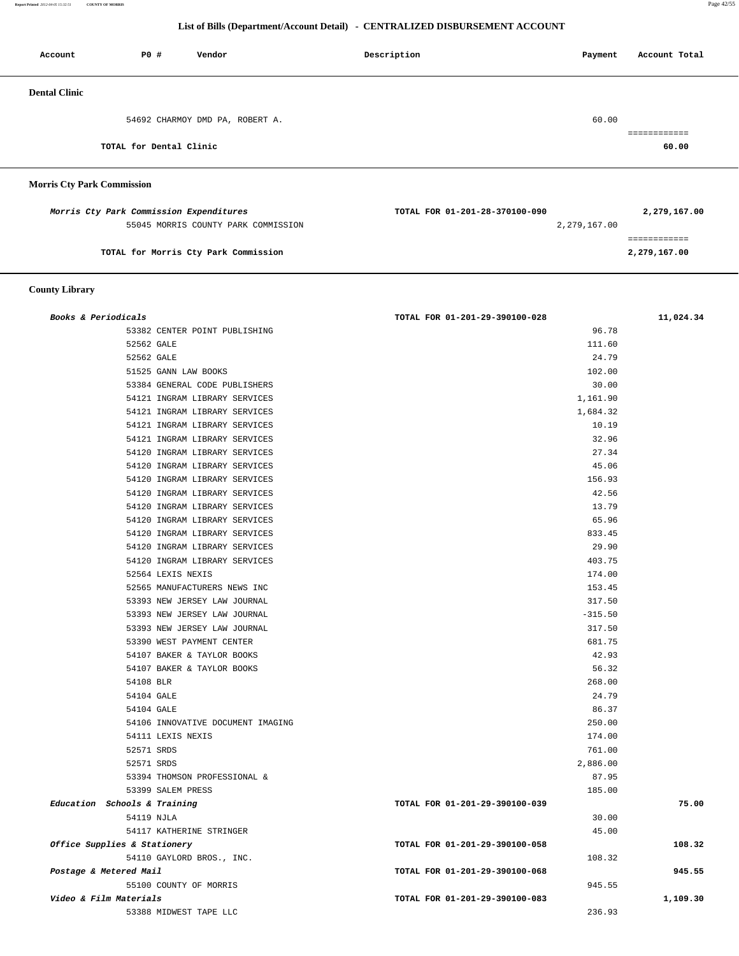**Report Printed** *2012-04-05 15:32:51* **COUNTY OF MORRIS** Page 42/55

## **List of Bills (Department/Account Detail) - CENTRALIZED DISBURSEMENT ACCOUNT**

| Account              | P0 #                    | Vendor                          | Description | Account Total<br>Payment |  |
|----------------------|-------------------------|---------------------------------|-------------|--------------------------|--|
| <b>Dental Clinic</b> |                         |                                 |             |                          |  |
|                      |                         | 54692 CHARMOY DMD PA, ROBERT A. |             | 60.00                    |  |
|                      | TOTAL for Dental Clinic |                                 |             | ---------<br>60.00       |  |
|                      |                         |                                 |             |                          |  |

## **Morris Cty Park Commission**

| Morris Cty Park Commission Expenditures | TOTAL FOR 01-201-28-370100-090 | 2,279,167.00 |
|-----------------------------------------|--------------------------------|--------------|
| 55045 MORRIS COUNTY PARK COMMISSION     | 2,279,167.00                   |              |
|                                         |                                |              |
| TOTAL for Morris Cty Park Commission    |                                | 2,279,167.00 |

## **County Library**

| Books & Periodicals          |                                   | TOTAL FOR 01-201-29-390100-028 | 11,024.34 |
|------------------------------|-----------------------------------|--------------------------------|-----------|
|                              | 53382 CENTER POINT PUBLISHING     | 96.78                          |           |
| 52562 GALE                   |                                   | 111.60                         |           |
| 52562 GALE                   |                                   | 24.79                          |           |
|                              | 51525 GANN LAW BOOKS              | 102.00                         |           |
|                              | 53384 GENERAL CODE PUBLISHERS     | 30.00                          |           |
|                              | 54121 INGRAM LIBRARY SERVICES     | 1,161.90                       |           |
|                              | 54121 INGRAM LIBRARY SERVICES     | 1,684.32                       |           |
|                              | 54121 INGRAM LIBRARY SERVICES     | 10.19                          |           |
|                              | 54121 INGRAM LIBRARY SERVICES     | 32.96                          |           |
|                              | 54120 INGRAM LIBRARY SERVICES     | 27.34                          |           |
|                              | 54120 INGRAM LIBRARY SERVICES     | 45.06                          |           |
|                              | 54120 INGRAM LIBRARY SERVICES     | 156.93                         |           |
|                              | 54120 INGRAM LIBRARY SERVICES     | 42.56                          |           |
|                              | 54120 INGRAM LIBRARY SERVICES     | 13.79                          |           |
|                              | 54120 INGRAM LIBRARY SERVICES     | 65.96                          |           |
|                              | 54120 INGRAM LIBRARY SERVICES     | 833.45                         |           |
|                              | 54120 INGRAM LIBRARY SERVICES     | 29.90                          |           |
|                              | 54120 INGRAM LIBRARY SERVICES     | 403.75                         |           |
|                              | 52564 LEXIS NEXIS                 | 174.00                         |           |
|                              | 52565 MANUFACTURERS NEWS INC      | 153.45                         |           |
|                              | 53393 NEW JERSEY LAW JOURNAL      | 317.50                         |           |
|                              | 53393 NEW JERSEY LAW JOURNAL      | $-315.50$                      |           |
|                              | 53393 NEW JERSEY LAW JOURNAL      | 317.50                         |           |
|                              | 53390 WEST PAYMENT CENTER         | 681.75                         |           |
|                              | 54107 BAKER & TAYLOR BOOKS        | 42.93                          |           |
|                              | 54107 BAKER & TAYLOR BOOKS        | 56.32                          |           |
| 54108 BLR                    |                                   | 268.00                         |           |
| 54104 GALE                   |                                   | 24.79                          |           |
| 54104 GALE                   |                                   | 86.37                          |           |
|                              | 54106 INNOVATIVE DOCUMENT IMAGING | 250.00                         |           |
|                              | 54111 LEXIS NEXIS                 | 174.00                         |           |
| 52571 SRDS                   |                                   | 761.00                         |           |
| 52571 SRDS                   |                                   | 2,886.00                       |           |
|                              | 53394 THOMSON PROFESSIONAL &      | 87.95                          |           |
|                              | 53399 SALEM PRESS                 | 185.00                         |           |
| Education Schools & Training |                                   | TOTAL FOR 01-201-29-390100-039 | 75.00     |
| 54119 NJLA                   |                                   | 30.00                          |           |
|                              | 54117 KATHERINE STRINGER          | 45.00                          |           |
| Office Supplies & Stationery |                                   | TOTAL FOR 01-201-29-390100-058 | 108.32    |
|                              | 54110 GAYLORD BROS., INC.         | 108.32                         |           |
| Postage & Metered Mail       |                                   | TOTAL FOR 01-201-29-390100-068 | 945.55    |
|                              | 55100 COUNTY OF MORRIS            | 945.55                         |           |
| Video & Film Materials       |                                   | TOTAL FOR 01-201-29-390100-083 | 1,109.30  |
|                              | 53388 MIDWEST TAPE LLC            | 236.93                         |           |
|                              |                                   |                                |           |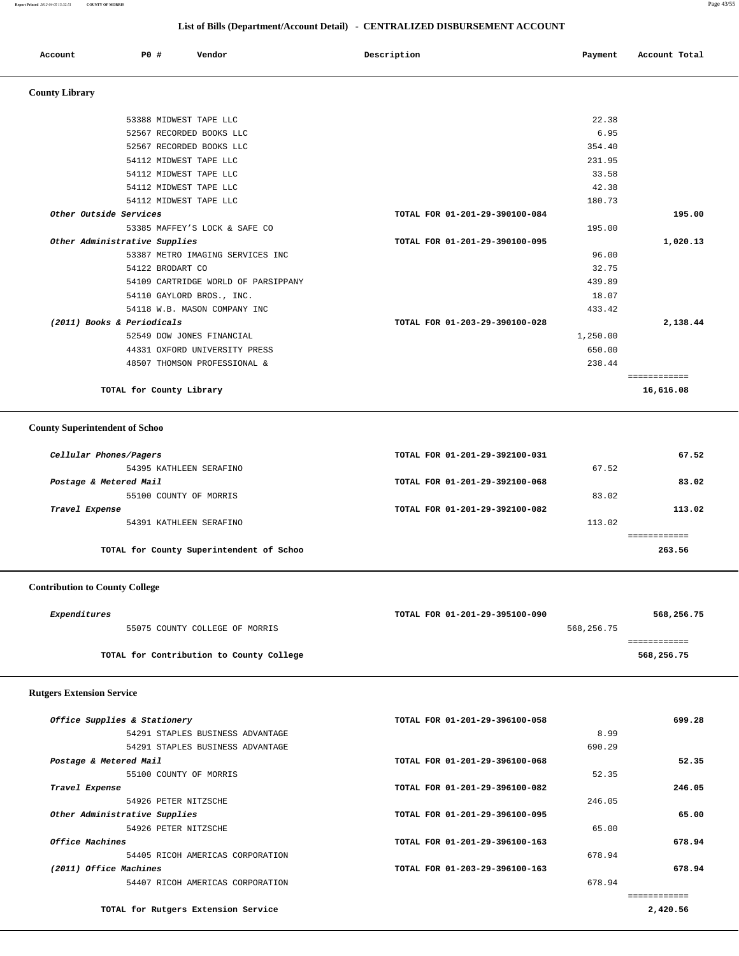**Report Printed** *2012-04-05 15:32:51* **COUNTY OF MORRIS** Page 43/55

## **List of Bills (Department/Account Detail) - CENTRALIZED DISBURSEMENT ACCOUNT**

| Account               | P0#<br>Vendor            | Description | Account Total<br>Payment |
|-----------------------|--------------------------|-------------|--------------------------|
| <b>County Library</b> |                          |             |                          |
|                       | 53388 MIDWEST TAPE LLC   |             | 22.38                    |
|                       | 52567 RECORDED BOOKS LLC |             | 6.95                     |
|                       | 52567 RECORDED BOOKS LLC |             | 354.40                   |

| 54112 MIDWEST TAPE LLC              | 231.95                         |           |
|-------------------------------------|--------------------------------|-----------|
| 54112 MIDWEST TAPE LLC              | 33.58                          |           |
| 54112 MIDWEST TAPE LLC              | 42.38                          |           |
| 54112 MIDWEST TAPE LLC              | 180.73                         |           |
| Other Outside Services              | TOTAL FOR 01-201-29-390100-084 | 195.00    |
| 53385 MAFFEY'S LOCK & SAFE CO       | 195.00                         |           |
| Other Administrative Supplies       | TOTAL FOR 01-201-29-390100-095 | 1,020.13  |
| 53387 METRO IMAGING SERVICES INC    | 96.00                          |           |
| 54122 BRODART CO                    | 32.75                          |           |
| 54109 CARTRIDGE WORLD OF PARSIPPANY | 439.89                         |           |
| 54110 GAYLORD BROS., INC.           | 18.07                          |           |
| 54118 W.B. MASON COMPANY INC        | 433.42                         |           |
| (2011) Books & Periodicals          | TOTAL FOR 01-203-29-390100-028 | 2,138.44  |
| 52549 DOW JONES FINANCIAL           | 1,250.00                       |           |
| 44331 OXFORD UNIVERSITY PRESS       | 650.00                         |           |
| 48507 THOMSON PROFESSIONAL &        | 238.44                         |           |
|                                     |                                |           |
| TOTAL for County Library            |                                | 16,616.08 |

## **County Superintendent of Schoo**

| Cellular Phones/Pagers                   | TOTAL FOR 01-201-29-392100-031 | 67.52  |
|------------------------------------------|--------------------------------|--------|
| 54395 KATHLEEN SERAFINO                  |                                | 67.52  |
| Postage & Metered Mail                   | TOTAL FOR 01-201-29-392100-068 | 83.02  |
| 55100 COUNTY OF MORRIS                   |                                | 83.02  |
| Travel Expense                           | TOTAL FOR 01-201-29-392100-082 | 113.02 |
| 54391 KATHLEEN SERAFINO                  |                                | 113.02 |
|                                          |                                |        |
| TOTAL for County Superintendent of Schoo |                                | 263.56 |

# **Contribution to County College**

| Expenditures |                                          | TOTAL FOR 01-201-29-395100-090 |            | 568,256.75 |
|--------------|------------------------------------------|--------------------------------|------------|------------|
|              | 55075 COUNTY COLLEGE OF MORRIS           |                                | 568,256.75 |            |
|              |                                          |                                |            |            |
|              | TOTAL for Contribution to County College |                                |            | 568,256.75 |
|              |                                          |                                |            |            |

## **Rutgers Extension Service**

| Office Supplies & Stationery        | TOTAL FOR 01-201-29-396100-058 | 699.28   |
|-------------------------------------|--------------------------------|----------|
| 54291 STAPLES BUSINESS ADVANTAGE    |                                | 8.99     |
| 54291 STAPLES BUSINESS ADVANTAGE    | 690.29                         |          |
| Postage & Metered Mail              | TOTAL FOR 01-201-29-396100-068 | 52.35    |
| 55100 COUNTY OF MORRIS              | 52.35                          |          |
| Travel Expense                      | TOTAL FOR 01-201-29-396100-082 | 246.05   |
| 54926 PETER NITZSCHE                | 246.05                         |          |
| Other Administrative Supplies       | TOTAL FOR 01-201-29-396100-095 | 65.00    |
| 54926 PETER NITZSCHE                | 65.00                          |          |
| Office Machines                     | TOTAL FOR 01-201-29-396100-163 | 678.94   |
| 54405 RICOH AMERICAS CORPORATION    | 678.94                         |          |
| (2011) Office Machines              | TOTAL FOR 01-203-29-396100-163 | 678.94   |
| 54407 RICOH AMERICAS CORPORATION    | 678.94                         |          |
|                                     |                                |          |
| TOTAL for Rutgers Extension Service |                                | 2,420.56 |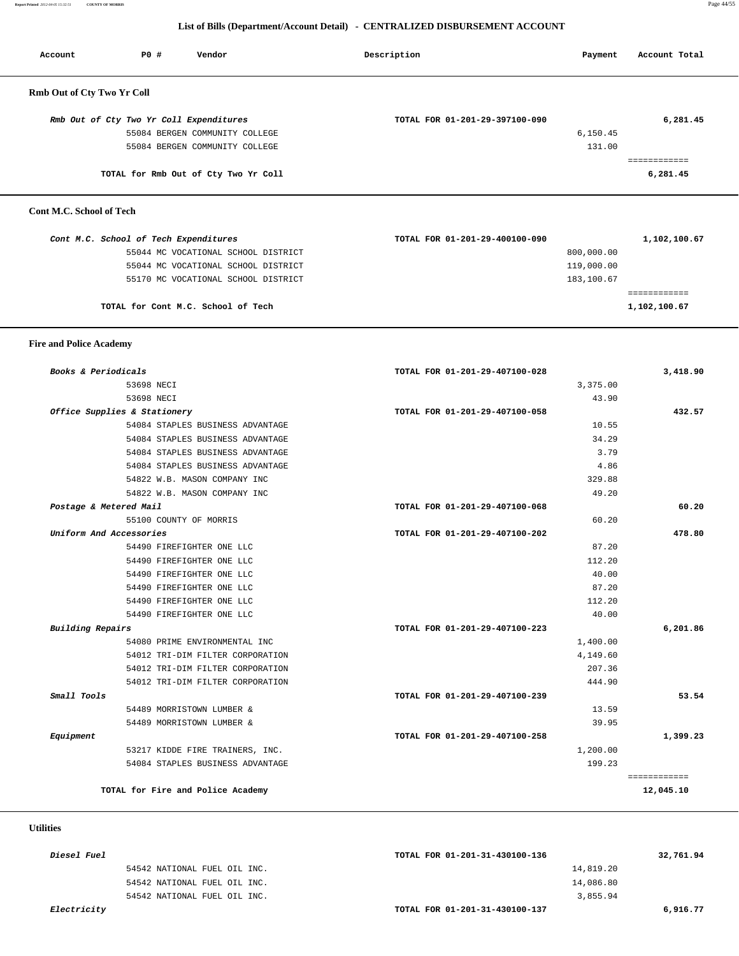**Report Printed** *2012-04-05 15:32:51* **COUNTY OF MORRIS** Page 44/55

## **List of Bills (Department/Account Detail) - CENTRALIZED DISBURSEMENT ACCOUNT**

| Account                           | <b>PO #</b><br>Vendor                   | Description                    | Payment    | Account Total |
|-----------------------------------|-----------------------------------------|--------------------------------|------------|---------------|
| <b>Rmb Out of Cty Two Yr Coll</b> |                                         |                                |            |               |
|                                   | Rmb Out of Cty Two Yr Coll Expenditures | TOTAL FOR 01-201-29-397100-090 |            | 6,281.45      |
|                                   | 55084 BERGEN COMMUNITY COLLEGE          |                                | 6,150.45   |               |
|                                   | 55084 BERGEN COMMUNITY COLLEGE          |                                | 131.00     |               |
|                                   |                                         |                                |            |               |
|                                   | TOTAL for Rmb Out of Cty Two Yr Coll    |                                |            | 6,281.45      |
| Cont M.C. School of Tech          |                                         |                                |            |               |
|                                   | Cont M.C. School of Tech Expenditures   | TOTAL FOR 01-201-29-400100-090 |            | 1,102,100.67  |
|                                   | 55044 MC VOCATIONAL SCHOOL DISTRICT     |                                | 800,000.00 |               |
|                                   | 55044 MC VOCATIONAL SCHOOL DISTRICT     |                                | 119,000.00 |               |
|                                   | 55170 MC VOCATIONAL SCHOOL DISTRICT     |                                | 183,100.67 |               |

============

**TOTAL for Cont M.C. School of Tech 1,102,100.67**

#### **Fire and Police Academy**

| 3,418.90     | TOTAL FOR 01-201-29-407100-028 | Books & Periodicals               |  |
|--------------|--------------------------------|-----------------------------------|--|
|              | 3,375.00                       | 53698 NECT                        |  |
|              | 43.90                          | 53698 NECI                        |  |
| 432.57       | TOTAL FOR 01-201-29-407100-058 | Office Supplies & Stationery      |  |
|              | 10.55                          | 54084 STAPLES BUSINESS ADVANTAGE  |  |
|              | 34.29                          | 54084 STAPLES BUSINESS ADVANTAGE  |  |
|              | 3.79                           | 54084 STAPLES BUSINESS ADVANTAGE  |  |
|              | 4.86                           | 54084 STAPLES BUSINESS ADVANTAGE  |  |
|              | 329.88                         | 54822 W.B. MASON COMPANY INC      |  |
|              | 49.20                          | 54822 W.B. MASON COMPANY INC      |  |
| 60.20        | TOTAL FOR 01-201-29-407100-068 | Postage & Metered Mail            |  |
|              | 60.20                          | 55100 COUNTY OF MORRIS            |  |
| 478.80       | TOTAL FOR 01-201-29-407100-202 | Uniform And Accessories           |  |
|              | 87.20                          | 54490 FIREFIGHTER ONE LLC         |  |
|              | 112.20                         | 54490 FIREFIGHTER ONE LLC         |  |
|              | 40.00                          | 54490 FIREFIGHTER ONE LLC         |  |
|              | 87.20                          | 54490 FIREFIGHTER ONE LLC         |  |
|              | 112.20                         | 54490 FIREFIGHTER ONE LLC         |  |
|              | 40.00                          | 54490 FIREFIGHTER ONE LLC         |  |
| 6,201.86     | TOTAL FOR 01-201-29-407100-223 | <b>Building Repairs</b>           |  |
|              | 1,400.00                       | 54080 PRIME ENVIRONMENTAL INC     |  |
|              | 4,149.60                       | 54012 TRI-DIM FILTER CORPORATION  |  |
|              | 207.36                         | 54012 TRI-DIM FILTER CORPORATION  |  |
|              | 444.90                         | 54012 TRI-DIM FILTER CORPORATION  |  |
| 53.54        | TOTAL FOR 01-201-29-407100-239 | Small Tools                       |  |
|              | 13.59                          | 54489 MORRISTOWN LUMBER &         |  |
|              | 39.95                          | 54489 MORRISTOWN LUMBER &         |  |
| 1,399.23     | TOTAL FOR 01-201-29-407100-258 | Equipment                         |  |
|              | 1,200.00                       | 53217 KIDDE FIRE TRAINERS, INC.   |  |
|              | 199.23                         | 54084 STAPLES BUSINESS ADVANTAGE  |  |
| ============ |                                |                                   |  |
| 12,045.10    |                                | TOTAL for Fire and Police Academy |  |

## **Utilities**

| <i>Diesel Fuel</i> |                              | TOTAL FOR 01-201-31-430100-136 | 32,761.94 |
|--------------------|------------------------------|--------------------------------|-----------|
|                    | 54542 NATIONAL FUEL OIL INC. | 14,819.20                      |           |
|                    | 54542 NATIONAL FUEL OIL INC. | 14,086.80                      |           |
|                    | 54542 NATIONAL FUEL OIL INC. | 3,855.94                       |           |
| <i>Electricity</i> |                              | TOTAL FOR 01-201-31-430100-137 | 6,916.77  |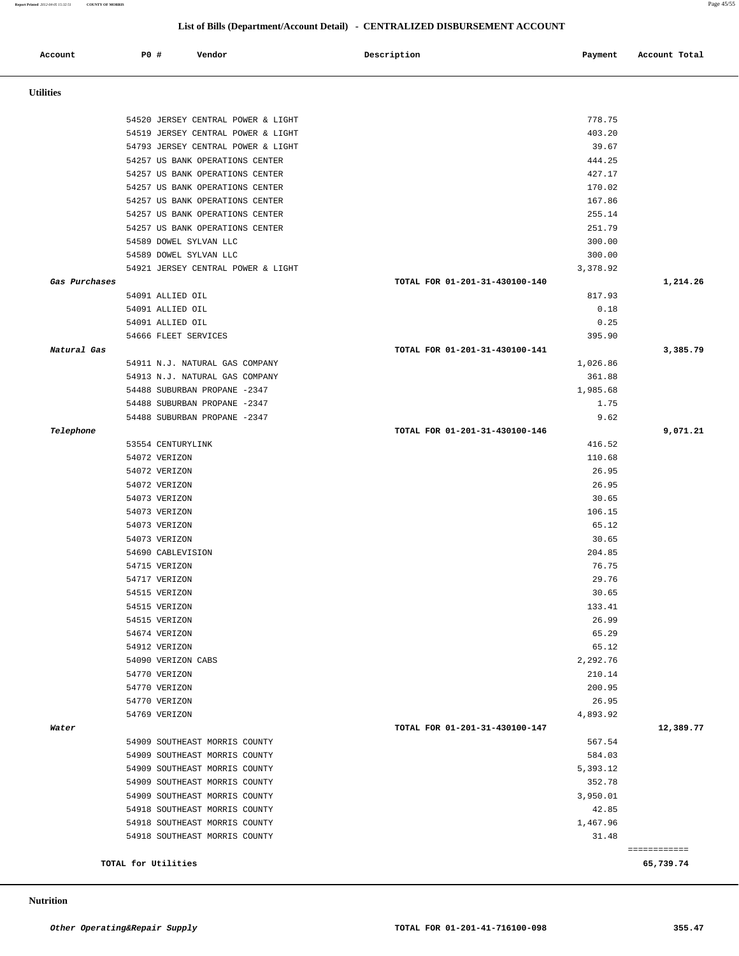**Report Printed** *2012-04-05 15:32:51* **COUNTY OF MORRIS** Page 45/55

## **List of Bills (Department/Account Detail) - CENTRALIZED DISBURSEMENT ACCOUNT**

| Account          | P0 # |                                | Vendor                                                             | Description                    | Payment            | Account Total |
|------------------|------|--------------------------------|--------------------------------------------------------------------|--------------------------------|--------------------|---------------|
| <b>Utilities</b> |      |                                |                                                                    |                                |                    |               |
|                  |      |                                |                                                                    |                                |                    |               |
|                  |      |                                | 54520 JERSEY CENTRAL POWER & LIGHT                                 |                                | 778.75             |               |
|                  |      |                                | 54519 JERSEY CENTRAL POWER & LIGHT                                 |                                | 403.20             |               |
|                  |      |                                | 54793 JERSEY CENTRAL POWER & LIGHT                                 |                                | 39.67<br>444.25    |               |
|                  |      |                                | 54257 US BANK OPERATIONS CENTER<br>54257 US BANK OPERATIONS CENTER |                                | 427.17             |               |
|                  |      |                                | 54257 US BANK OPERATIONS CENTER                                    |                                | 170.02             |               |
|                  |      |                                | 54257 US BANK OPERATIONS CENTER                                    |                                | 167.86             |               |
|                  |      |                                | 54257 US BANK OPERATIONS CENTER                                    |                                | 255.14             |               |
|                  |      |                                | 54257 US BANK OPERATIONS CENTER                                    |                                | 251.79             |               |
|                  |      |                                | 54589 DOWEL SYLVAN LLC                                             |                                | 300.00             |               |
|                  |      |                                | 54589 DOWEL SYLVAN LLC                                             |                                | 300.00             |               |
|                  |      |                                | 54921 JERSEY CENTRAL POWER & LIGHT                                 |                                | 3,378.92           |               |
| Gas Purchases    |      |                                |                                                                    | TOTAL FOR 01-201-31-430100-140 |                    | 1,214.26      |
|                  |      | 54091 ALLIED OIL               |                                                                    |                                | 817.93             |               |
|                  |      | 54091 ALLIED OIL               |                                                                    |                                | 0.18               |               |
|                  |      | 54091 ALLIED OIL               |                                                                    |                                | 0.25               |               |
| Natural Gas      |      | 54666 FLEET SERVICES           |                                                                    | TOTAL FOR 01-201-31-430100-141 | 395.90             | 3,385.79      |
|                  |      |                                | 54911 N.J. NATURAL GAS COMPANY                                     |                                | 1,026.86           |               |
|                  |      |                                | 54913 N.J. NATURAL GAS COMPANY                                     |                                | 361.88             |               |
|                  |      |                                | 54488 SUBURBAN PROPANE -2347                                       |                                | 1,985.68           |               |
|                  |      |                                | 54488 SUBURBAN PROPANE -2347                                       |                                | 1.75               |               |
|                  |      |                                | 54488 SUBURBAN PROPANE -2347                                       |                                | 9.62               |               |
| Telephone        |      |                                |                                                                    | TOTAL FOR 01-201-31-430100-146 |                    | 9,071.21      |
|                  |      | 53554 CENTURYLINK              |                                                                    |                                | 416.52             |               |
|                  |      | 54072 VERIZON                  |                                                                    |                                | 110.68             |               |
|                  |      | 54072 VERIZON                  |                                                                    |                                | 26.95              |               |
|                  |      | 54072 VERIZON                  |                                                                    |                                | 26.95              |               |
|                  |      | 54073 VERIZON<br>54073 VERIZON |                                                                    |                                | 30.65<br>106.15    |               |
|                  |      | 54073 VERIZON                  |                                                                    |                                | 65.12              |               |
|                  |      | 54073 VERIZON                  |                                                                    |                                | 30.65              |               |
|                  |      | 54690 CABLEVISION              |                                                                    |                                | 204.85             |               |
|                  |      | 54715 VERIZON                  |                                                                    |                                | 76.75              |               |
|                  |      | 54717 VERIZON                  |                                                                    |                                | 29.76              |               |
|                  |      | 54515 VERIZON                  |                                                                    |                                | 30.65              |               |
|                  |      | 54515 VERIZON                  |                                                                    |                                | 133.41             |               |
|                  |      | 54515 VERIZON                  |                                                                    |                                | 26.99              |               |
|                  |      | 54674 VERIZON                  |                                                                    |                                | 65.29              |               |
|                  |      | 54912 VERIZON                  |                                                                    |                                | 65.12              |               |
|                  |      | 54090 VERIZON CABS             |                                                                    |                                | 2,292.76<br>210.14 |               |
|                  |      | 54770 VERIZON<br>54770 VERIZON |                                                                    |                                | 200.95             |               |
|                  |      | 54770 VERIZON                  |                                                                    |                                | 26.95              |               |
|                  |      | 54769 VERIZON                  |                                                                    |                                | 4,893.92           |               |
| Water            |      |                                |                                                                    | TOTAL FOR 01-201-31-430100-147 |                    | 12,389.77     |
|                  |      |                                | 54909 SOUTHEAST MORRIS COUNTY                                      |                                | 567.54             |               |
|                  |      |                                | 54909 SOUTHEAST MORRIS COUNTY                                      |                                | 584.03             |               |
|                  |      |                                | 54909 SOUTHEAST MORRIS COUNTY                                      |                                | 5,393.12           |               |
|                  |      |                                | 54909 SOUTHEAST MORRIS COUNTY                                      |                                | 352.78             |               |
|                  |      |                                | 54909 SOUTHEAST MORRIS COUNTY                                      |                                | 3,950.01           |               |
|                  |      |                                | 54918 SOUTHEAST MORRIS COUNTY                                      |                                | 42.85              |               |
|                  |      |                                | 54918 SOUTHEAST MORRIS COUNTY                                      |                                | 1,467.96           |               |
|                  |      |                                | 54918 SOUTHEAST MORRIS COUNTY                                      |                                | 31.48              | ============  |
|                  |      | TOTAL for Utilities            |                                                                    |                                |                    | 65,739.74     |